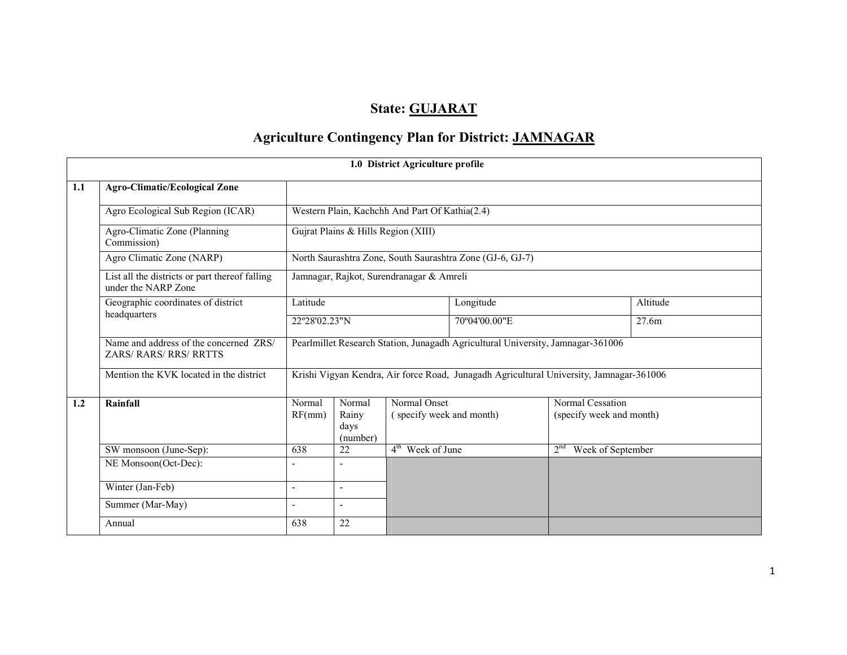# State: GUJARAT

# Agriculture Contingency Plan for District: JAMNAGAR

|                                                                                                                   |                                                                         |                                     |                                                           | 1.0 District Agriculture profile               |               |                                                                                         |          |  |  |  |
|-------------------------------------------------------------------------------------------------------------------|-------------------------------------------------------------------------|-------------------------------------|-----------------------------------------------------------|------------------------------------------------|---------------|-----------------------------------------------------------------------------------------|----------|--|--|--|
| 1.1                                                                                                               | <b>Agro-Climatic/Ecological Zone</b>                                    |                                     |                                                           |                                                |               |                                                                                         |          |  |  |  |
|                                                                                                                   | Agro Ecological Sub Region (ICAR)                                       |                                     |                                                           | Western Plain, Kachchh And Part Of Kathia(2.4) |               |                                                                                         |          |  |  |  |
|                                                                                                                   | Agro-Climatic Zone (Planning<br>Commission)                             | Gujrat Plains & Hills Region (XIII) |                                                           |                                                |               |                                                                                         |          |  |  |  |
|                                                                                                                   | Agro Climatic Zone (NARP)                                               |                                     | North Saurashtra Zone, South Saurashtra Zone (GJ-6, GJ-7) |                                                |               |                                                                                         |          |  |  |  |
| List all the districts or part thereof falling<br>Jamnagar, Rajkot, Surendranagar & Amreli<br>under the NARP Zone |                                                                         |                                     |                                                           |                                                |               |                                                                                         |          |  |  |  |
|                                                                                                                   | Geographic coordinates of district                                      | Latitude                            |                                                           |                                                | Longitude     |                                                                                         | Altitude |  |  |  |
|                                                                                                                   | headquarters                                                            | 22°28'02.23"N                       |                                                           |                                                | 70°04'00.00"E |                                                                                         | 27.6m    |  |  |  |
|                                                                                                                   | Name and address of the concerned ZRS/<br><b>ZARS/ RARS/ RRS/ RRTTS</b> |                                     |                                                           |                                                |               | Pearlmillet Research Station, Junagadh Agricultural University, Jamnagar-361006         |          |  |  |  |
|                                                                                                                   | Mention the KVK located in the district                                 |                                     |                                                           |                                                |               | Krishi Vigyan Kendra, Air force Road, Junagadh Agricultural University, Jamnagar-361006 |          |  |  |  |
| 1.2                                                                                                               | Rainfall                                                                | Normal<br>RF(mm)                    | Normal<br>Rainy<br>days<br>(number)                       | Normal Onset<br>(specify week and month)       |               | Normal Cessation<br>(specify week and month)                                            |          |  |  |  |
|                                                                                                                   | SW monsoon (June-Sep):                                                  | 638                                 | 22                                                        | $4th$ Week of June                             |               | Week of September<br>2 <sup>nd</sup>                                                    |          |  |  |  |
|                                                                                                                   | NE Monsoon(Oct-Dec):                                                    |                                     |                                                           |                                                |               |                                                                                         |          |  |  |  |
|                                                                                                                   | Winter (Jan-Feb)                                                        | $\overline{\phantom{0}}$            | $\overline{\phantom{a}}$                                  |                                                |               |                                                                                         |          |  |  |  |
|                                                                                                                   | Summer (Mar-May)                                                        | $\overline{\phantom{a}}$            | $\sim$                                                    |                                                |               |                                                                                         |          |  |  |  |
|                                                                                                                   | Annual                                                                  | 638                                 | 22                                                        |                                                |               |                                                                                         |          |  |  |  |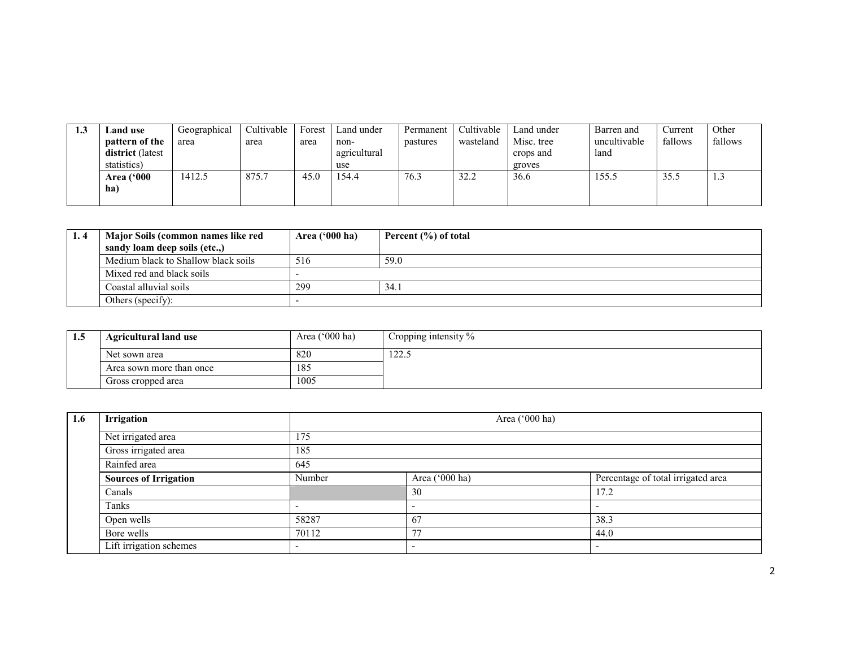| <b>1.J</b> | <b>Land use</b>   | Geographical | Cultivable | Forest | Land under   | Permanent | Cultivable | Land under | Barren and   | Current | Other   |
|------------|-------------------|--------------|------------|--------|--------------|-----------|------------|------------|--------------|---------|---------|
|            | pattern of the    | area         | area       | area   | non-         | pastures  | wasteland  | Misc. tree | uncultivable | fallows | fallows |
|            | district (latest  |              |            |        | agricultural |           |            | crops and  | land         |         |         |
|            | statistics)       |              |            |        | use          |           |            | groves     |              |         |         |
|            | <b>Area</b> ('000 | 1412.5       | 875.7      | 45.0   | 54.4         | 76.3      | 32.2       | 36.6       | 155.5        | 35.5    | 1.J     |
|            | ha                |              |            |        |              |           |            |            |              |         |         |
|            |                   |              |            |        |              |           |            |            |              |         |         |

| Major Soils (common names like red<br>sandy loam deep soils (etc) | Area $('000 ha)$ | Percent (%) of total |
|-------------------------------------------------------------------|------------------|----------------------|
| Medium black to Shallow black soils                               | 516              | 59.0                 |
| Mixed red and black soils                                         |                  |                      |
| Coastal alluvial soils                                            | 299              | 34.1                 |
| Others (specify):                                                 |                  |                      |

| 1.5 | <b>Agricultural land use</b>    | Area $('000 ha)$ | Cropping intensity % |
|-----|---------------------------------|------------------|----------------------|
|     | Net sown area                   | 820              | 122.5                |
|     | 185<br>Area sown more than once |                  |                      |
|     | Gross cropped area              | 1005             |                      |

| $1.6\phantom{0}$ | Irrigation                   |                          | Area ('000 ha) |                                    |  |  |  |  |
|------------------|------------------------------|--------------------------|----------------|------------------------------------|--|--|--|--|
|                  | Net irrigated area           | 175                      |                |                                    |  |  |  |  |
|                  | Gross irrigated area         | 185                      |                |                                    |  |  |  |  |
|                  | Rainfed area                 | 645                      |                |                                    |  |  |  |  |
|                  | <b>Sources of Irrigation</b> | Number                   | Area ('000 ha) | Percentage of total irrigated area |  |  |  |  |
|                  | Canals                       |                          | 30             | 17.2                               |  |  |  |  |
|                  | Tanks                        | -                        | -              |                                    |  |  |  |  |
|                  | Open wells                   | 58287                    | 67             | 38.3                               |  |  |  |  |
|                  | Bore wells                   | 70112                    | 77             | 44.0                               |  |  |  |  |
|                  | Lift irrigation schemes      | $\overline{\phantom{0}}$ |                |                                    |  |  |  |  |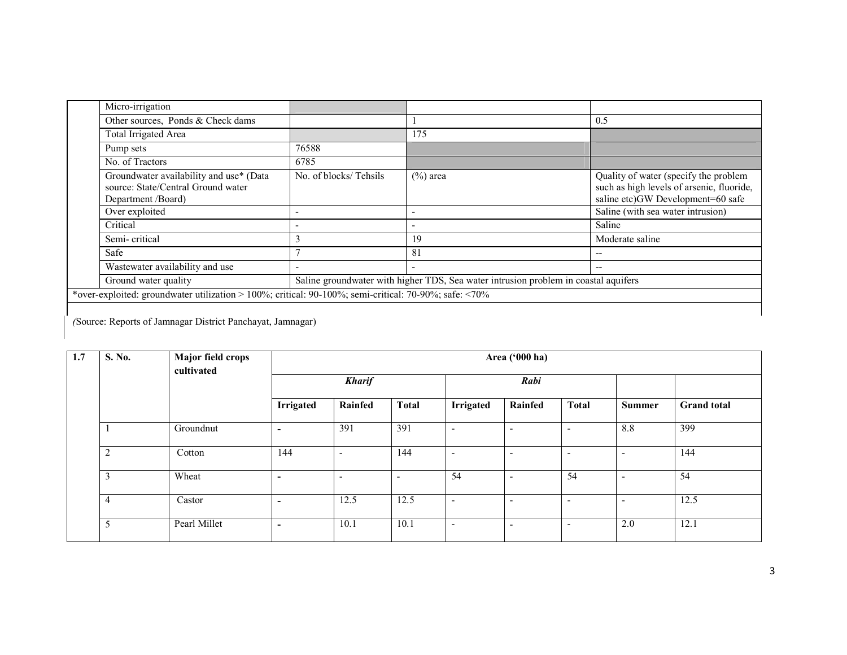|                                                                                                       | Micro-irrigation                                                                                    |                       |                                                                                     |                                                                                                                         |  |  |  |
|-------------------------------------------------------------------------------------------------------|-----------------------------------------------------------------------------------------------------|-----------------------|-------------------------------------------------------------------------------------|-------------------------------------------------------------------------------------------------------------------------|--|--|--|
|                                                                                                       | Other sources, Ponds & Check dams                                                                   |                       |                                                                                     | 0.5                                                                                                                     |  |  |  |
|                                                                                                       | Total Irrigated Area                                                                                |                       | 175                                                                                 |                                                                                                                         |  |  |  |
|                                                                                                       | Pump sets                                                                                           | 76588                 |                                                                                     |                                                                                                                         |  |  |  |
|                                                                                                       | No. of Tractors                                                                                     | 6785                  |                                                                                     |                                                                                                                         |  |  |  |
|                                                                                                       | Groundwater availability and use* (Data<br>source: State/Central Ground water<br>Department /Board) | No. of blocks/Tehsils | $(\%)$ area                                                                         | Quality of water (specify the problem<br>such as high levels of arsenic, fluoride,<br>saline etc)GW Development=60 safe |  |  |  |
|                                                                                                       | Over exploited                                                                                      |                       |                                                                                     | Saline (with sea water intrusion)                                                                                       |  |  |  |
|                                                                                                       | Critical                                                                                            |                       |                                                                                     | Saline                                                                                                                  |  |  |  |
|                                                                                                       | Semi-critical                                                                                       | 3                     | 19                                                                                  | Moderate saline                                                                                                         |  |  |  |
|                                                                                                       | Safe                                                                                                |                       | 81                                                                                  | --                                                                                                                      |  |  |  |
|                                                                                                       | Wastewater availability and use                                                                     |                       |                                                                                     | --                                                                                                                      |  |  |  |
|                                                                                                       | Ground water quality                                                                                |                       | Saline groundwater with higher TDS, Sea water intrusion problem in coastal aquifers |                                                                                                                         |  |  |  |
| *over-exploited: groundwater utilization > 100%; critical: 90-100%; semi-critical: 70-90%; safe: <70% |                                                                                                     |                       |                                                                                     |                                                                                                                         |  |  |  |
|                                                                                                       |                                                                                                     |                       |                                                                                     |                                                                                                                         |  |  |  |

(Source: Reports of Jamnagar District Panchayat, Jamnagar)

| 1.7 | S. No.         | Major field crops<br>cultivated |                          | Area ('000 ha)           |                          |                          |                              |                          |                          |                    |
|-----|----------------|---------------------------------|--------------------------|--------------------------|--------------------------|--------------------------|------------------------------|--------------------------|--------------------------|--------------------|
|     |                |                                 | <b>Kharif</b>            |                          |                          | Rabi                     |                              |                          |                          |                    |
|     |                |                                 | <b>Irrigated</b>         | Rainfed                  | <b>Total</b>             | <b>Irrigated</b>         | Rainfed                      | <b>Total</b>             | <b>Summer</b>            | <b>Grand</b> total |
|     |                | Groundnut                       | ٠                        | 391                      | 391                      | $\overline{\phantom{a}}$ | $\overline{\phantom{a}}$     | $\overline{\phantom{a}}$ | 8.8                      | 399                |
|     | $\overline{2}$ | Cotton                          | 144                      | $\overline{\phantom{0}}$ | 144                      | $\overline{\phantom{a}}$ | $\qquad \qquad \blacksquare$ | $\overline{\phantom{0}}$ | $\overline{\phantom{0}}$ | 144                |
|     | 3              | Wheat                           | $\overline{\phantom{a}}$ | $\overline{\phantom{0}}$ | $\overline{\phantom{a}}$ | 54                       | $\overline{\phantom{a}}$     | 54                       | $\overline{\phantom{0}}$ | 54                 |
|     | 4              | Castor                          | ٠                        | 12.5                     | 12.5                     | $\overline{\phantom{a}}$ | $\qquad \qquad \blacksquare$ | $\overline{\phantom{0}}$ | $\overline{\phantom{0}}$ | 12.5               |
|     | 5              | Pearl Millet                    | ٠                        | 10.1                     | 10.1                     | $\overline{\phantom{a}}$ | $\overline{\phantom{a}}$     | -                        | 2.0                      | 12.1               |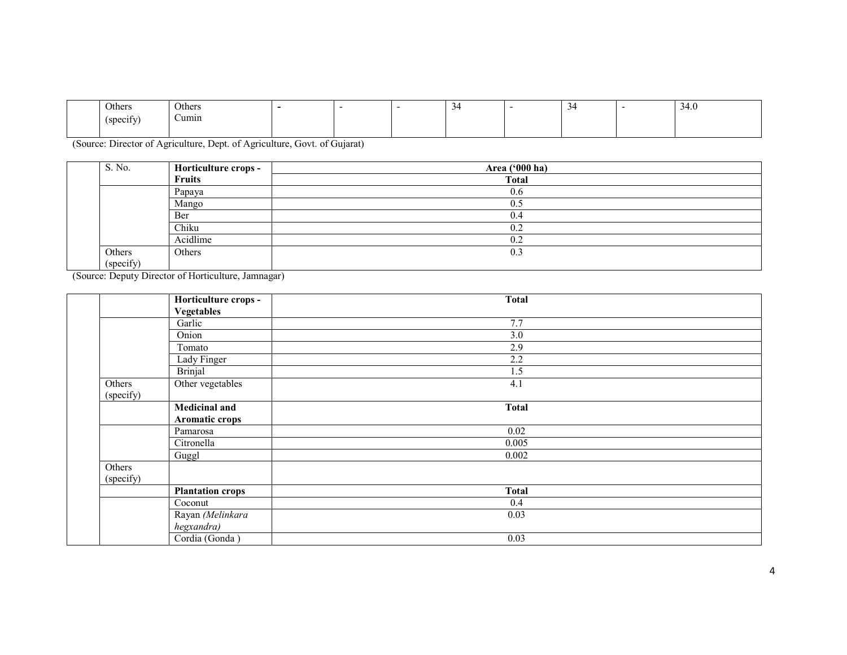| <b>Others</b>         | Others          |  |  |  | $\sim$ $\sim$<br>$\sim$ |
|-----------------------|-----------------|--|--|--|-------------------------|
| CMAC<br><b>SPCCIT</b> | $\sim$<br>√umın |  |  |  |                         |
|                       |                 |  |  |  |                         |

(Source: Director of Agriculture, Dept. of Agriculture, Govt. of Gujarat)

| S. No.    | Horticulture crops -                                | Area ('000 ha) |
|-----------|-----------------------------------------------------|----------------|
|           | <b>Fruits</b>                                       | <b>Total</b>   |
|           | Papaya                                              | 0.6            |
|           | Mango                                               | 0.5            |
|           | Ber                                                 | 0.4            |
|           | Chiku                                               | 0.2            |
|           | Acidlime                                            | 0.2            |
| Others    | Others                                              | 0.3            |
| (specify) |                                                     |                |
|           | (Source: Deputy Director of Horticulture, Jamnagar) |                |

|           | Horticulture crops -    | <b>Total</b> |
|-----------|-------------------------|--------------|
|           | <b>Vegetables</b>       |              |
|           | Garlic                  | 7.7          |
|           | Onion                   | 3.0          |
|           | Tomato                  | 2.9          |
|           | Lady Finger             | 2.2          |
|           | <b>Brinjal</b>          | 1.5          |
| Others    | Other vegetables        | 4.1          |
| (specify) |                         |              |
|           | <b>Medicinal and</b>    | <b>Total</b> |
|           | <b>Aromatic crops</b>   |              |
|           | Pamarosa                | 0.02         |
|           | Citronella              | 0.005        |
|           | Guggl                   | 0.002        |
| Others    |                         |              |
| (specify) |                         |              |
|           | <b>Plantation crops</b> | <b>Total</b> |
|           | Coconut                 | 0.4          |
|           | Rayan (Melinkara        | 0.03         |
|           | hegxandra)              |              |
|           | Cordia (Gonda)          | 0.03         |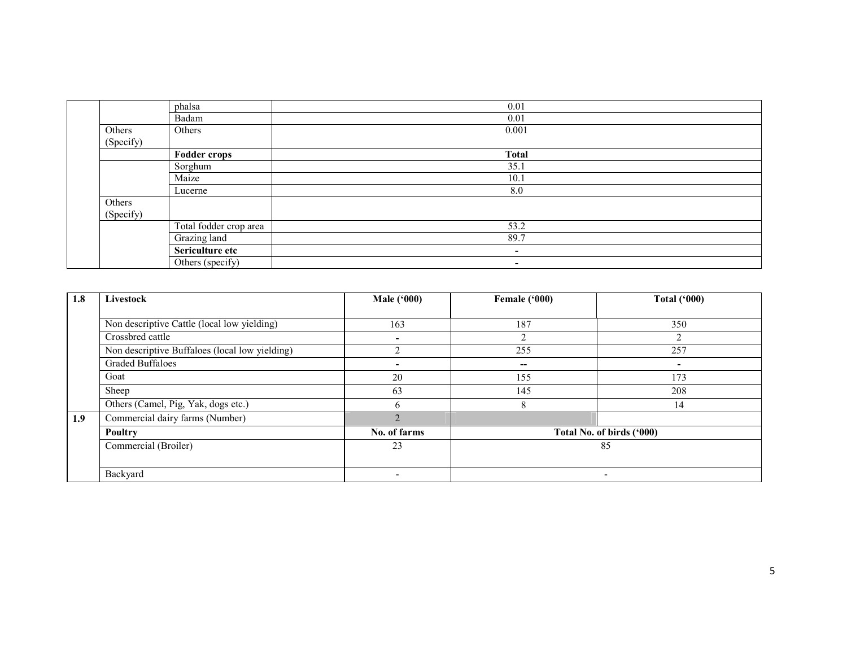|                     | phalsa                 | 0.01                     |  |
|---------------------|------------------------|--------------------------|--|
|                     | Badam                  | 0.01                     |  |
| Others<br>(Specify) | Others                 | 0.001                    |  |
|                     | <b>Fodder crops</b>    | <b>Total</b>             |  |
|                     | Sorghum                | 35.1                     |  |
|                     | Maize                  | 10.1                     |  |
|                     | Lucerne                | 8.0                      |  |
| Others<br>(Specify) |                        |                          |  |
|                     | Total fodder crop area | 53.2                     |  |
|                     | Grazing land           | 89.7                     |  |
|                     | Sericulture etc        | $\overline{\phantom{a}}$ |  |
|                     | Others (specify)       | $\overline{\phantom{a}}$ |  |

| 1.8 | Livestock                                      | <b>Male</b> ('000)       | Female ('000)            | <b>Total ('000)</b>       |
|-----|------------------------------------------------|--------------------------|--------------------------|---------------------------|
|     |                                                |                          |                          |                           |
|     | Non descriptive Cattle (local low yielding)    | 163                      | 187                      | 350                       |
|     | Crossbred cattle                               |                          |                          |                           |
|     | Non descriptive Buffaloes (local low yielding) | ◠                        | 255                      | 257                       |
|     | <b>Graded Buffaloes</b>                        |                          | $\overline{\phantom{a}}$ | ۰                         |
|     | Goat                                           | 20                       | 155                      | 173                       |
|     | Sheep                                          | 63                       | 145                      | 208                       |
|     | Others (Camel, Pig, Yak, dogs etc.)            | 6                        | 8                        | 14                        |
| 1.9 | Commercial dairy farms (Number)                |                          |                          |                           |
|     | Poultry                                        | No. of farms             |                          | Total No. of birds ('000) |
|     | Commercial (Broiler)                           | 23                       |                          | 85                        |
|     |                                                |                          |                          |                           |
|     | Backyard                                       | $\overline{\phantom{0}}$ |                          | $\overline{\phantom{a}}$  |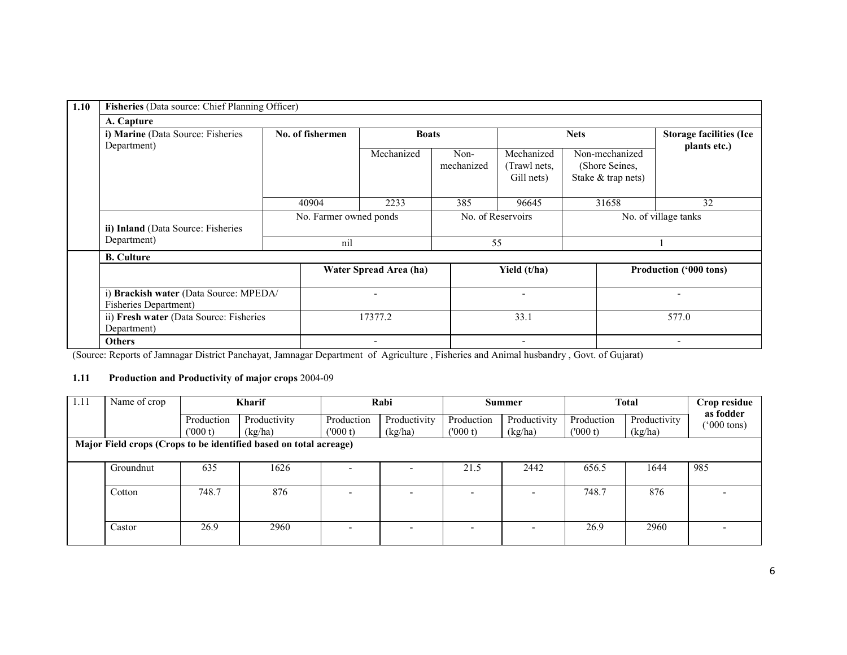| 1.10 | Fisheries (Data source: Chief Planning Officer)                 |                  |     |                        |                    |                                           |                                                        |                                                |  |
|------|-----------------------------------------------------------------|------------------|-----|------------------------|--------------------|-------------------------------------------|--------------------------------------------------------|------------------------------------------------|--|
|      | A. Capture                                                      |                  |     |                        |                    |                                           |                                                        |                                                |  |
|      | i) Marine (Data Source: Fisheries<br>Department)                | No. of fishermen |     | <b>Boats</b>           |                    |                                           | <b>Nets</b>                                            | <b>Storage facilities (Ice</b><br>plants etc.) |  |
|      | ii) Inland (Data Source: Fisheries<br>Department)               |                  |     | Mechanized             | Non-<br>mechanized | Mechanized<br>(Trawl nets.)<br>Gill nets) | Non-mechanized<br>(Shore Seines,<br>Stake & trap nets) |                                                |  |
|      |                                                                 | 40904            |     | 2233                   | 385                | 96645                                     | 31658                                                  | 32                                             |  |
|      |                                                                 |                  |     | No. Farmer owned ponds |                    | No. of Reservoirs                         | No. of village tanks                                   |                                                |  |
|      |                                                                 |                  | nil |                        |                    | 55                                        |                                                        |                                                |  |
|      | <b>B.</b> Culture                                               |                  |     |                        |                    |                                           |                                                        |                                                |  |
|      |                                                                 |                  |     | Water Spread Area (ha) |                    | Yield (t/ha)                              |                                                        | Production ('000 tons)                         |  |
|      | i) Brackish water (Data Source: MPEDA/<br>Fisheries Department) |                  |     |                        |                    | $\overline{\phantom{0}}$                  |                                                        |                                                |  |
|      | ii) Fresh water (Data Source: Fisheries<br>Department)          |                  |     | 17377.2                |                    | 33.1                                      |                                                        | 577.0                                          |  |
|      | <b>Others</b>                                                   |                  |     |                        |                    |                                           |                                                        |                                                |  |

(Source: Reports of Jamnagar District Panchayat, Jamnagar Department of Agriculture , Fisheries and Animal husbandry , Govt. of Gujarat)

#### 1.11 Production and Productivity of major crops 2004-09

| 1.11                                                              | Name of crop | <b>Kharif</b>         |                         |                          | Rabi                    |                       | <b>Summer</b>            | <b>Total</b>          |                         | Crop residue             |
|-------------------------------------------------------------------|--------------|-----------------------|-------------------------|--------------------------|-------------------------|-----------------------|--------------------------|-----------------------|-------------------------|--------------------------|
|                                                                   |              | Production<br>(000 t) | Productivity<br>(kg/ha) | Production<br>(000 t)    | Productivity<br>(kg/ha) | Production<br>(000 t) | Productivity<br>(kg/ha)  | Production<br>(000 t) | Productivity<br>(kg/ha) | as fodder<br>('000 tons) |
| Major Field crops (Crops to be identified based on total acreage) |              |                       |                         |                          |                         |                       |                          |                       |                         |                          |
|                                                                   | Groundnut    | 635                   | 1626                    |                          |                         | 21.5                  | 2442                     | 656.5                 | 1644                    | 985                      |
|                                                                   | Cotton       | 748.7                 | 876                     | $\overline{\phantom{0}}$ |                         | -                     | $\overline{\phantom{0}}$ | 748.7                 | 876                     |                          |
|                                                                   | Castor       | 26.9                  | 2960                    | $\overline{\phantom{0}}$ |                         |                       |                          | 26.9                  | 2960                    |                          |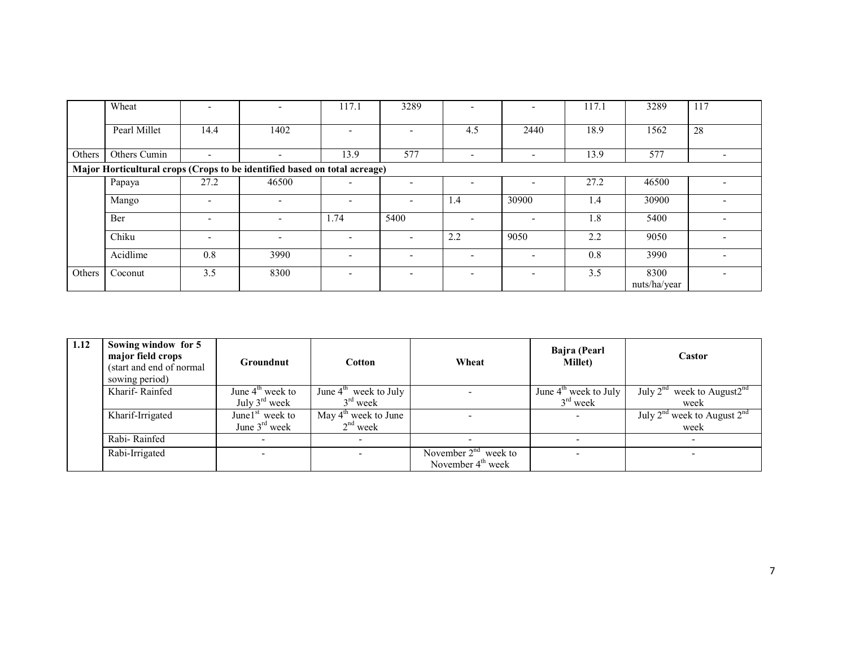|        | Wheat                                                                     |                          | $\overline{\phantom{0}}$ | 117.1                    | 3289                     |                          |                          | 117.1 | 3289                 | 117 |  |
|--------|---------------------------------------------------------------------------|--------------------------|--------------------------|--------------------------|--------------------------|--------------------------|--------------------------|-------|----------------------|-----|--|
|        | Pearl Millet                                                              | 14.4                     | 1402                     | ۰.                       | ۰                        | 4.5                      | 2440                     | 18.9  | 1562                 | 28  |  |
| Others | Others Cumin                                                              | $\overline{\phantom{0}}$ | $\overline{\phantom{0}}$ | 13.9                     | 577                      | $\overline{\phantom{a}}$ | $\overline{\phantom{0}}$ | 13.9  | 577                  |     |  |
|        | Major Horticultural crops (Crops to be identified based on total acreage) |                          |                          |                          |                          |                          |                          |       |                      |     |  |
|        | Papaya                                                                    | 27.2                     | 46500                    | -                        | ۰                        |                          |                          | 27.2  | 46500                |     |  |
|        | Mango                                                                     | $\overline{\phantom{a}}$ | $\overline{\phantom{0}}$ | $\overline{\phantom{0}}$ |                          | 1.4                      | 30900                    | 1.4   | 30900                |     |  |
|        | Ber                                                                       | $\overline{\phantom{a}}$ | $\overline{\phantom{0}}$ | 1.74                     | 5400                     |                          |                          | 1.8   | 5400                 |     |  |
|        | Chiku                                                                     | $\overline{\phantom{0}}$ | $\overline{\phantom{0}}$ | $\overline{\phantom{a}}$ |                          | 2.2                      | 9050                     | 2.2   | 9050                 |     |  |
|        | Acidlime                                                                  | 0.8                      | 3990                     | $\overline{\phantom{a}}$ |                          |                          | $\overline{\phantom{0}}$ | 0.8   | 3990                 |     |  |
| Others | Coconut                                                                   | 3.5                      | 8300                     | ۰.                       | $\overline{\phantom{a}}$ |                          | $\overline{\phantom{0}}$ | 3.5   | 8300<br>nuts/ha/year |     |  |

| 1.12 | Sowing window for 5<br>major field crops<br>(start and end of normal<br>sowing period) | <b>Groundnut</b>          | Cotton                            | Wheat                  | Bajra (Pearl<br><b>Millet</b> ) | Castor                                |
|------|----------------------------------------------------------------------------------------|---------------------------|-----------------------------------|------------------------|---------------------------------|---------------------------------------|
|      | Kharif-Rainfed                                                                         | June $4th$ week to        | June $4^{\text{th}}$ week to July |                        | June $4th$ week to July         | July $2^{nd}$ week to August $2^{nd}$ |
|      |                                                                                        | July $3^{\text{rd}}$ week | $3rd$ week                        |                        | $3rd$ week                      | week                                  |
|      | Kharif-Irrigated                                                                       | June $1st$ week to        | May $4^{\text{th}}$ week to June  |                        |                                 | July $2nd$ week to August $2nd$       |
|      |                                                                                        | June $3rd$ week           | $2nd$ week                        |                        |                                 | week                                  |
|      | Rabi-Rainfed                                                                           |                           |                                   |                        |                                 |                                       |
|      | Rabi-Irrigated                                                                         |                           |                                   | November $2nd$ week to |                                 |                                       |
|      |                                                                                        |                           |                                   | November $4th$ week    |                                 |                                       |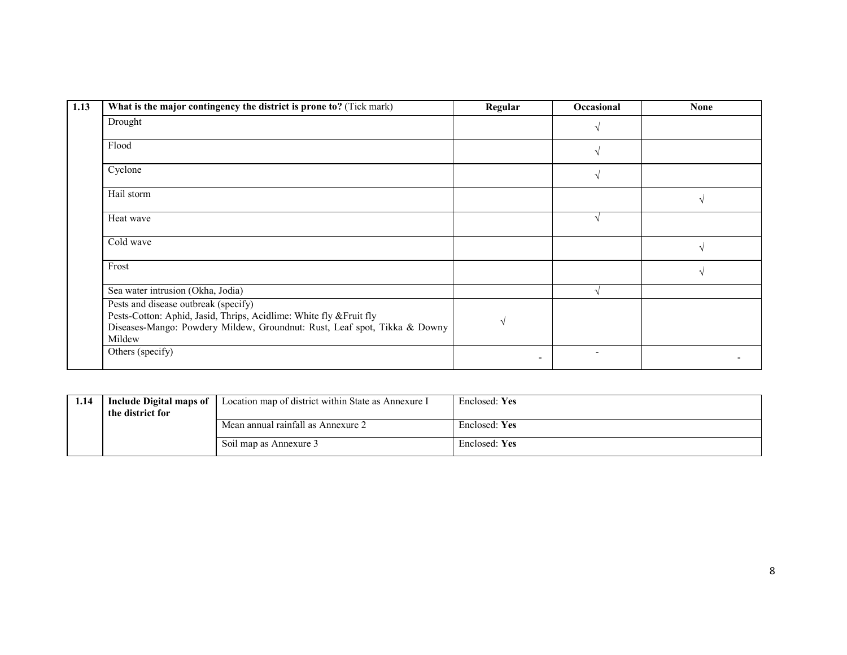| 1.13 | What is the major contingency the district is prone to? (Tick mark)                                                                                                                                | Regular | Occasional | <b>None</b>   |
|------|----------------------------------------------------------------------------------------------------------------------------------------------------------------------------------------------------|---------|------------|---------------|
|      | Drought                                                                                                                                                                                            |         |            |               |
|      | Flood                                                                                                                                                                                              |         |            |               |
|      | Cyclone                                                                                                                                                                                            |         |            |               |
|      | Hail storm                                                                                                                                                                                         |         |            | $\mathcal{N}$ |
|      | Heat wave                                                                                                                                                                                          |         |            |               |
|      | Cold wave                                                                                                                                                                                          |         |            |               |
|      | Frost                                                                                                                                                                                              |         |            | $\mathcal{N}$ |
|      | Sea water intrusion (Okha, Jodia)                                                                                                                                                                  |         |            |               |
|      | Pests and disease outbreak (specify)<br>Pests-Cotton: Aphid, Jasid, Thrips, Acidlime: White fly & Fruit fly<br>Diseases-Mango: Powdery Mildew, Groundnut: Rust, Leaf spot, Tikka & Downy<br>Mildew |         |            |               |
|      | Others (specify)                                                                                                                                                                                   |         |            |               |

| 1.14 | <b>Include Digital maps of</b><br>the district for | Location map of district within State as Annexure I | Enclosed: Yes |
|------|----------------------------------------------------|-----------------------------------------------------|---------------|
|      |                                                    | Mean annual rainfall as Annexure 2                  | Enclosed: Yes |
|      |                                                    | Soil map as Annexure 3                              | Enclosed: Yes |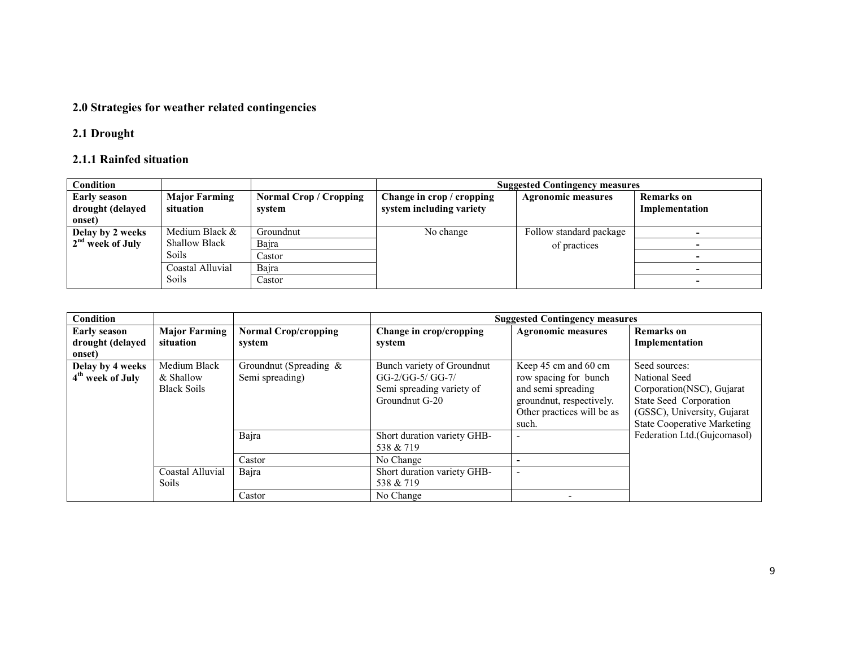#### 2.0 Strategies for weather related contingencies

## 2.1 Drought

#### 2.1.1 Rainfed situation

| <b>Condition</b>                                  |                                   |                                  | <b>Suggested Contingency measures</b>                 |                           |                              |  |  |  |
|---------------------------------------------------|-----------------------------------|----------------------------------|-------------------------------------------------------|---------------------------|------------------------------|--|--|--|
| <b>Early season</b><br>drought (delayed<br>onset) | <b>Major Farming</b><br>situation | Normal Crop / Cropping<br>system | Change in crop / cropping<br>system including variety | <b>Agronomic measures</b> | Remarks on<br>Implementation |  |  |  |
| Delay by 2 weeks                                  | Medium Black $\&$                 | Groundnut                        | No change                                             | Follow standard package   |                              |  |  |  |
| 2 <sup>nd</sup> week of July                      | <b>Shallow Black</b>              | Bajra                            |                                                       | of practices              |                              |  |  |  |
|                                                   | Soils                             | Castor                           |                                                       |                           |                              |  |  |  |
|                                                   | Coastal Alluvial                  | Bajra                            |                                                       |                           |                              |  |  |  |
|                                                   | Soils                             | Castor                           |                                                       |                           |                              |  |  |  |

| Condition                                         |                                                 |                                              |                                                                                               | <b>Suggested Contingency measures</b>                                                                                                  |                                                                                                                                                             |
|---------------------------------------------------|-------------------------------------------------|----------------------------------------------|-----------------------------------------------------------------------------------------------|----------------------------------------------------------------------------------------------------------------------------------------|-------------------------------------------------------------------------------------------------------------------------------------------------------------|
| <b>Early season</b><br>drought (delayed<br>onset) | <b>Major Farming</b><br>situation               | <b>Normal Crop/cropping</b><br>system        | Change in crop/cropping<br>system                                                             | <b>Agronomic measures</b>                                                                                                              | <b>Remarks</b> on<br>Implementation                                                                                                                         |
| Delay by 4 weeks<br>4 <sup>th</sup> week of July  | Medium Black<br>& Shallow<br><b>Black Soils</b> | Groundnut (Spreading $\&$<br>Semi spreading) | Bunch variety of Groundnut<br>GG-2/GG-5/ GG-7/<br>Semi spreading variety of<br>Groundnut G-20 | Keep 45 cm and 60 cm<br>row spacing for bunch<br>and semi spreading<br>groundnut, respectively.<br>Other practices will be as<br>such. | Seed sources:<br>National Seed<br>Corporation (NSC), Gujarat<br>State Seed Corporation<br>(GSSC), University, Gujarat<br><b>State Cooperative Marketing</b> |
|                                                   |                                                 | Bajra<br>Castor                              | Short duration variety GHB-<br>538 & 719<br>No Change                                         | $\overline{\phantom{0}}$                                                                                                               | Federation Ltd.(Gujcomasol)                                                                                                                                 |
|                                                   | Coastal Alluvial<br><b>Soils</b>                | Bajra                                        | Short duration variety GHB-<br>538 & 719                                                      |                                                                                                                                        |                                                                                                                                                             |
|                                                   |                                                 | Castor                                       | No Change                                                                                     |                                                                                                                                        |                                                                                                                                                             |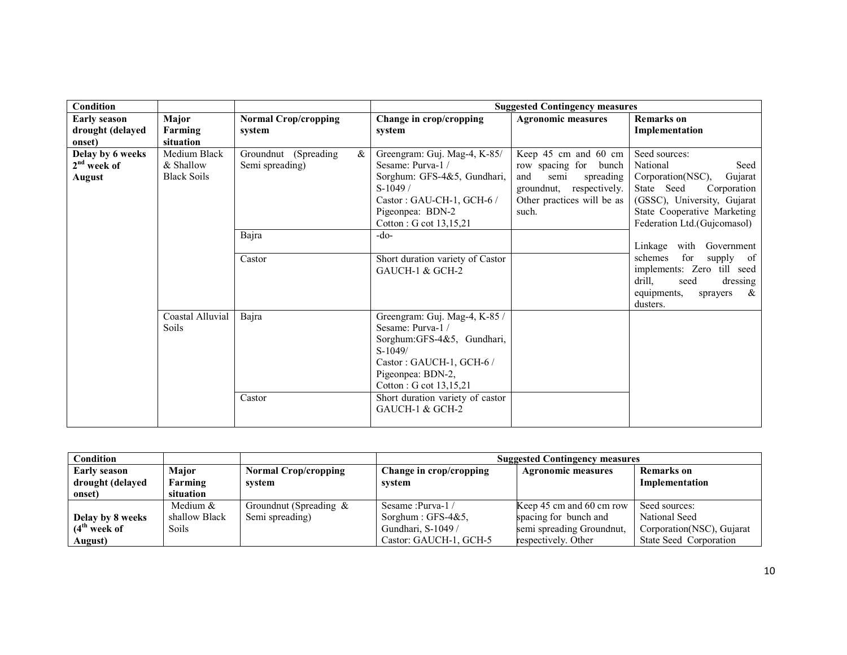| <b>Condition</b>                                  |                                                 |                                                 |                                                                                                                                                                                                                                  | <b>Suggested Contingency measures</b>                                                                                                        |                                                                                                                                                                                             |
|---------------------------------------------------|-------------------------------------------------|-------------------------------------------------|----------------------------------------------------------------------------------------------------------------------------------------------------------------------------------------------------------------------------------|----------------------------------------------------------------------------------------------------------------------------------------------|---------------------------------------------------------------------------------------------------------------------------------------------------------------------------------------------|
| <b>Early season</b><br>drought (delayed<br>onset) | Major<br>Farming<br>situation                   | <b>Normal Crop/cropping</b><br>system           | Change in crop/cropping<br>system                                                                                                                                                                                                | <b>Agronomic measures</b>                                                                                                                    | <b>Remarks</b> on<br>Implementation                                                                                                                                                         |
| Delay by 6 weeks<br>$2nd$ week of<br>August       | Medium Black<br>& Shallow<br><b>Black Soils</b> | Groundnut (Spreading<br>$\&$<br>Semi spreading) | Greengram: Guj. Mag-4, K-85/<br>Sesame: Purva-1/<br>Sorghum: GFS-4&5, Gundhari,<br>$S-1049/$<br>Castor: GAU-CH-1, GCH-6 /<br>Pigeonpea: BDN-2<br>Cotton : G cot 13,15,21                                                         | Keep 45 cm and 60 cm<br>row spacing for bunch<br>and<br>semi<br>spreading<br>groundnut, respectively.<br>Other practices will be as<br>such. | Seed sources:<br>National<br>Seed<br>Corporation(NSC),<br>Gujarat<br>State Seed<br>Corporation<br>(GSSC), University, Gujarat<br>State Cooperative Marketing<br>Federation Ltd.(Gujcomasol) |
|                                                   |                                                 | Bajra<br>Castor                                 | $-do-$<br>Short duration variety of Castor<br>GAUCH-1 & GCH-2                                                                                                                                                                    |                                                                                                                                              | Linkage with Government<br>for<br>supply<br>schemes<br>of<br>implements: Zero till seed<br>drill,<br>seed<br>dressing<br>&<br>equipments,<br>sprayers<br>dusters.                           |
|                                                   | Coastal Alluvial<br><b>Soils</b>                | Bajra<br>Castor                                 | Greengram: Guj. Mag-4, K-85 /<br>Sesame: Purva-1/<br>Sorghum: GFS-4&5, Gundhari,<br>$S-1049/$<br>Castor: GAUCH-1, GCH-6 /<br>Pigeonpea: BDN-2,<br>Cotton : G cot 13,15,21<br>Short duration variety of castor<br>GAUCH-1 & GCH-2 |                                                                                                                                              |                                                                                                                                                                                             |

| Condition           |               |                             | <b>Suggested Contingency measures</b> |                           |                           |  |  |
|---------------------|---------------|-----------------------------|---------------------------------------|---------------------------|---------------------------|--|--|
| <b>Early season</b> | <b>Major</b>  | <b>Normal Crop/cropping</b> | Change in crop/cropping               | <b>Agronomic measures</b> | <b>Remarks</b> on         |  |  |
| drought (delayed    | Farming       | system                      | svstem                                |                           | Implementation            |  |  |
| onset)              | situation     |                             |                                       |                           |                           |  |  |
|                     | Medium $&$    | Groundnut (Spreading $\&$   | Sesame : Purva-1 /                    | Keep 45 cm and 60 cm row  | Seed sources:             |  |  |
| Delay by 8 weeks    | shallow Black | Semi spreading)             | Sorghum : $GFS-4&5$ ,                 | spacing for bunch and     | National Seed             |  |  |
| $(4th$ week of      | <b>Soils</b>  |                             | Gundhari, S-1049 /                    | semi spreading Groundnut, | Corporation(NSC), Gujarat |  |  |
| August)             |               |                             | Castor: GAUCH-1, GCH-5                | respectively. Other       | State Seed Corporation    |  |  |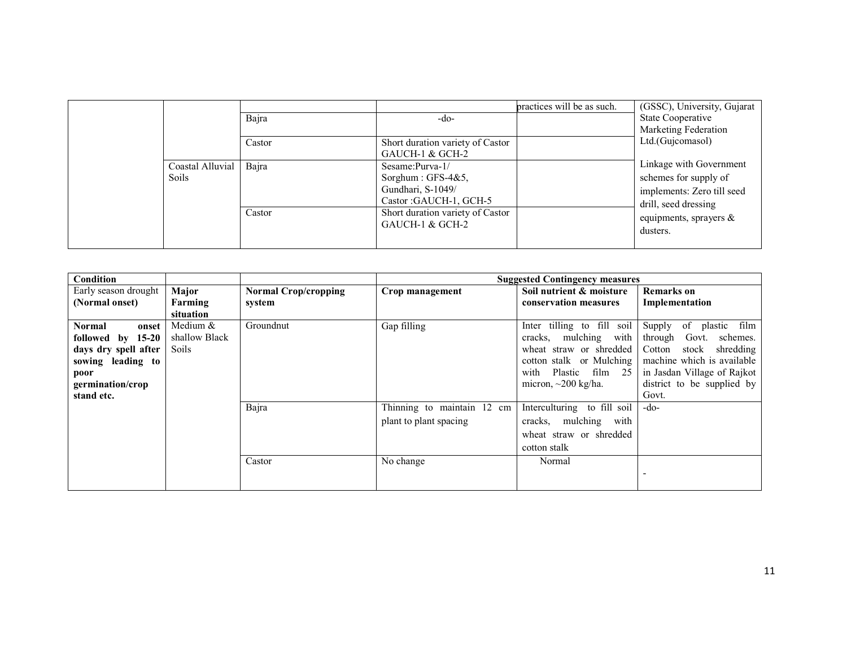|  |                                  | Bajra  | $-do-$                                                                                     | practices will be as such. | (GSSC), University, Gujarat<br><b>State Cooperative</b><br>Marketing Federation<br>Ltd.(Gujcomasol)    |
|--|----------------------------------|--------|--------------------------------------------------------------------------------------------|----------------------------|--------------------------------------------------------------------------------------------------------|
|  |                                  | Castor | Short duration variety of Castor<br>GAUCH-1 & GCH-2                                        |                            |                                                                                                        |
|  | Coastal Alluvial<br><b>Soils</b> | Bajra  | Sesame: $Purva-1/$<br>Sorghum : $GFS-4&5$ ,<br>Gundhari, S-1049/<br>Castor: GAUCH-1, GCH-5 |                            | Linkage with Government<br>schemes for supply of<br>implements: Zero till seed<br>drill, seed dressing |
|  |                                  | Castor | Short duration variety of Castor<br>GAUCH-1 & GCH-2                                        |                            | equipments, sprayers $\&$<br>dusters.                                                                  |

| Condition              |               |                             |                            | <b>Suggested Contingency measures</b> |                              |
|------------------------|---------------|-----------------------------|----------------------------|---------------------------------------|------------------------------|
| Early season drought   | Major         | <b>Normal Crop/cropping</b> | Crop management            | Soil nutrient & moisture              | <b>Remarks</b> on            |
| (Normal onset)         | Farming       | system                      |                            | conservation measures                 | Implementation               |
|                        | situation     |                             |                            |                                       |                              |
| <b>Normal</b><br>onset | Medium $&$    | Groundnut                   | Gap filling                | Inter tilling to fill soil            | Supply<br>of plastic<br>film |
| followed by 15-20      | shallow Black |                             |                            | with<br>mulching<br>cracks,           | through<br>Govt.<br>schemes. |
| days dry spell after   | <b>Soils</b>  |                             |                            | wheat straw or shredded               | Cotton<br>shredding<br>stock |
| sowing leading to      |               |                             |                            | cotton stalk or Mulching              | machine which is available   |
| poor                   |               |                             |                            | Plastic film 25<br>with               | in Jasdan Village of Rajkot  |
| germination/crop       |               |                             |                            | micron, $\sim$ 200 kg/ha.             | district to be supplied by   |
| stand etc.             |               |                             |                            |                                       | Govt.                        |
|                        |               | Bajra                       | Thinning to maintain 12 cm | Interculturing to fill soil           | -do-                         |
|                        |               |                             | plant to plant spacing     | cracks, mulching with                 |                              |
|                        |               |                             |                            | wheat straw or shredded               |                              |
|                        |               |                             |                            | cotton stalk                          |                              |
|                        |               | Castor                      | No change                  | Normal                                |                              |
|                        |               |                             |                            |                                       |                              |
|                        |               |                             |                            |                                       |                              |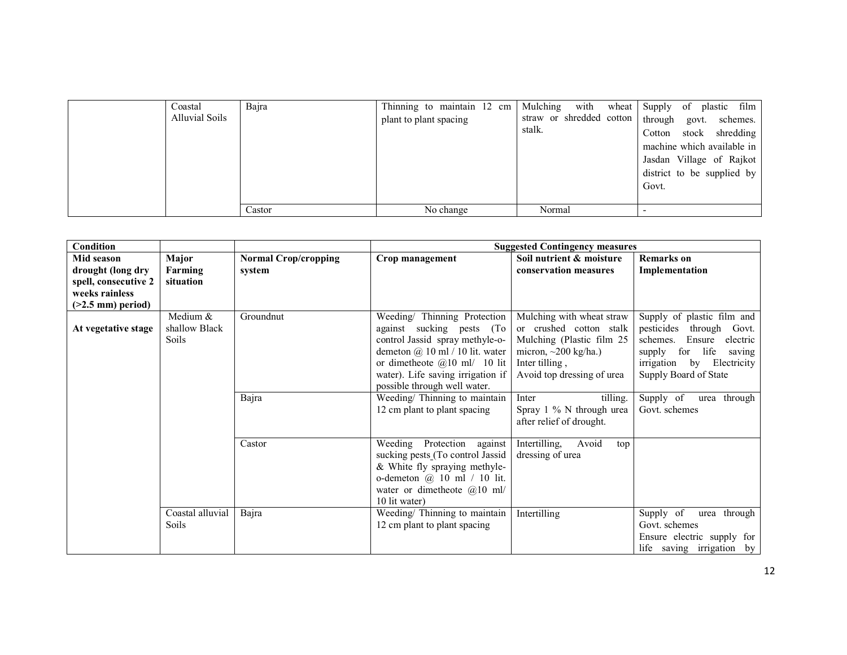| Coastal<br><b>Alluvial Soils</b> | Bajra  | Thinning to maintain 12 cm Mulching with wheat Supply of plastic film<br>plant to plant spacing | stalk. | straw or shredded cotton   through govt. schemes.<br>Cotton stock shredding<br>machine which available in<br>Jasdan Village of Rajkot<br>district to be supplied by<br>Govt. |
|----------------------------------|--------|-------------------------------------------------------------------------------------------------|--------|------------------------------------------------------------------------------------------------------------------------------------------------------------------------------|
|                                  | Castor | No change                                                                                       | Normal |                                                                                                                                                                              |

| Condition            |                  |                             |                                     | <b>Suggested Contingency measures</b> |                                 |
|----------------------|------------------|-----------------------------|-------------------------------------|---------------------------------------|---------------------------------|
| Mid season           | Major            | <b>Normal Crop/cropping</b> | Crop management                     | Soil nutrient & moisture              | <b>Remarks</b> on               |
| drought (long dry    | Farming          | system                      |                                     | conservation measures                 | Implementation                  |
| spell, consecutive 2 | situation        |                             |                                     |                                       |                                 |
| weeks rainless       |                  |                             |                                     |                                       |                                 |
| $($ >2.5 mm) period) |                  |                             |                                     |                                       |                                 |
|                      | Medium $&$       | Groundnut                   | Weeding/ Thinning Protection        | Mulching with wheat straw             | Supply of plastic film and      |
| At vegetative stage  | shallow Black    |                             | against sucking pests (To           | or crushed cotton stalk               | pesticides<br>through Govt.     |
|                      | <b>Soils</b>     |                             | control Jassid spray methyle-o-     | Mulching (Plastic film 25             | Ensure<br>electric<br>schemes.  |
|                      |                  |                             | demeton $(a)$ 10 ml / 10 lit. water | micron, $\sim$ 200 kg/ha.)            | life<br>for<br>supply<br>saving |
|                      |                  |                             | or dimetheote $@10$ ml/ 10 lit      | Inter tilling,                        | irrigation by Electricity       |
|                      |                  |                             | water). Life saving irrigation if   | Avoid top dressing of urea            | Supply Board of State           |
|                      |                  |                             | possible through well water.        |                                       |                                 |
|                      |                  | Bajra                       | Weeding/ Thinning to maintain       | tilling.<br>Inter                     | Supply of<br>urea through       |
|                      |                  |                             | 12 cm plant to plant spacing        | Spray 1 % N through urea              | Govt. schemes                   |
|                      |                  |                             |                                     | after relief of drought.              |                                 |
|                      |                  | Castor                      | Weeding Protection against          | Intertilling,<br>Avoid<br>top         |                                 |
|                      |                  |                             | sucking pests (To control Jassid    | dressing of urea                      |                                 |
|                      |                  |                             | & White fly spraying methyle-       |                                       |                                 |
|                      |                  |                             | o-demeton $\omega$ 10 ml / 10 lit.  |                                       |                                 |
|                      |                  |                             | water or dimetheote $@10$ ml/       |                                       |                                 |
|                      |                  |                             | 10 lit water)                       |                                       |                                 |
|                      | Coastal alluvial | Bajra                       | Weeding/Thinning to maintain        | Intertilling                          | Supply of<br>urea through       |
|                      | Soils            |                             | 12 cm plant to plant spacing        |                                       | Govt. schemes                   |
|                      |                  |                             |                                     |                                       | Ensure electric supply for      |
|                      |                  |                             |                                     |                                       | life saving irrigation by       |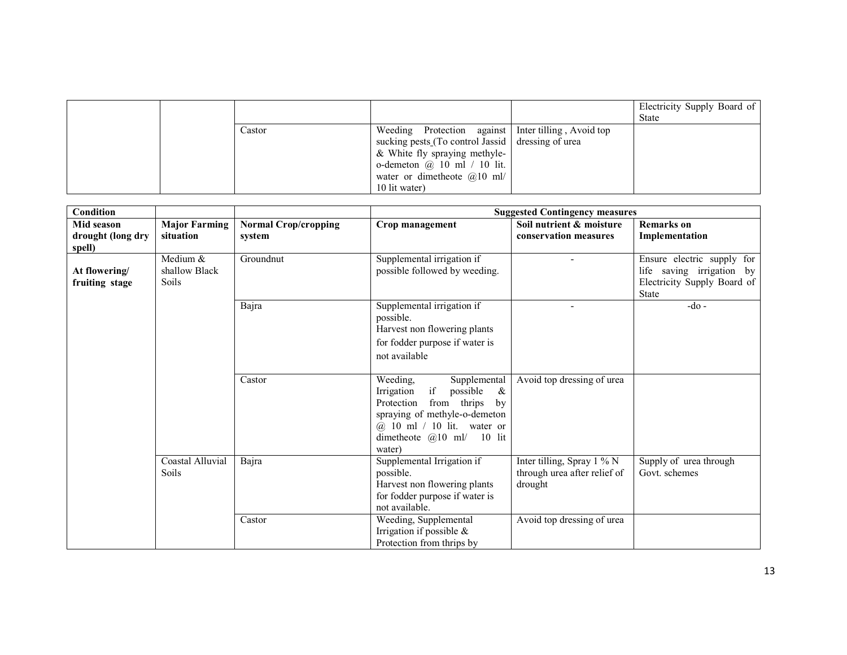|  |        |                                                     | Electricity Supply Board of<br>State |
|--|--------|-----------------------------------------------------|--------------------------------------|
|  | Castor | Weeding Protection against Inter tilling, Avoid top |                                      |
|  |        | sucking pests (To control Jassid   dressing of urea |                                      |
|  |        | & White fly spraying methyle-                       |                                      |
|  |        | o-demeton $\omega$ 10 ml / 10 lit.                  |                                      |
|  |        | water or dimetheote $(a)$ 10 ml/                    |                                      |
|  |        | 10 lit water)                                       |                                      |

| Condition                                 |                                           |                                       |                                                                                                                                                                                                          | <b>Suggested Contingency measures</b>                                 |                                                                                                        |
|-------------------------------------------|-------------------------------------------|---------------------------------------|----------------------------------------------------------------------------------------------------------------------------------------------------------------------------------------------------------|-----------------------------------------------------------------------|--------------------------------------------------------------------------------------------------------|
| Mid season<br>drought (long dry<br>spell) | <b>Major Farming</b><br>situation         | <b>Normal Crop/cropping</b><br>system | Crop management                                                                                                                                                                                          | Soil nutrient & moisture<br>conservation measures                     | <b>Remarks</b> on<br>Implementation                                                                    |
| At flowering/<br>fruiting stage           | Medium &<br>shallow Black<br><b>Soils</b> | Groundnut                             | Supplemental irrigation if<br>possible followed by weeding.                                                                                                                                              | $\overline{\phantom{a}}$                                              | Ensure electric supply for<br>life saving irrigation by<br>Electricity Supply Board of<br><b>State</b> |
|                                           |                                           | Bajra                                 | Supplemental irrigation if<br>possible.<br>Harvest non flowering plants<br>for fodder purpose if water is<br>not available                                                                               | $\blacksquare$                                                        | $-do$ -                                                                                                |
|                                           |                                           | Castor                                | Supplemental<br>Weeding,<br>if<br>possible<br>Irrigation<br>&<br>Protection<br>from thrips<br>by<br>spraying of methyle-o-demeton<br>@ 10 ml / 10 lit. water or<br>dimetheote $@10$ ml/ 10 lit<br>water) | Avoid top dressing of urea                                            |                                                                                                        |
|                                           | Coastal Alluvial<br>Soils                 | Bajra                                 | Supplemental Irrigation if<br>possible.<br>Harvest non flowering plants<br>for fodder purpose if water is<br>not available.                                                                              | Inter tilling, Spray 1 % N<br>through urea after relief of<br>drought | Supply of urea through<br>Govt. schemes                                                                |
|                                           |                                           | Castor                                | Weeding, Supplemental<br>Irrigation if possible $\&$<br>Protection from thrips by                                                                                                                        | Avoid top dressing of urea                                            |                                                                                                        |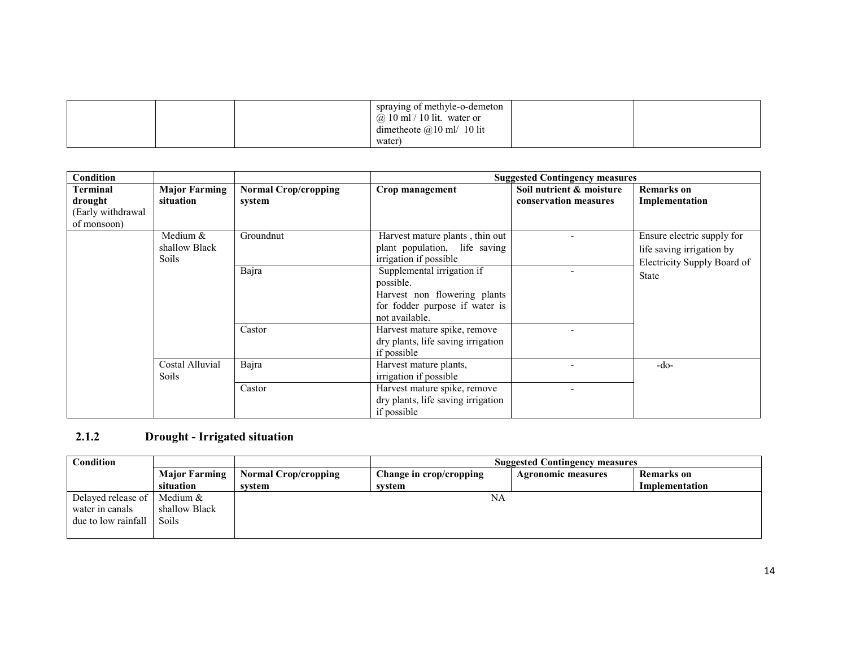|  | spraying of methyle-o-demeton                                    |  |
|--|------------------------------------------------------------------|--|
|  | $\omega$ 10 ml / 10 lit. water or<br>dimetheote $@10$ ml/ 10 lit |  |
|  | water                                                            |  |

| Condition                                               |                                             |                                       |                                                                                                                             | <b>Suggested Contingency measures</b>             |                                                                                        |
|---------------------------------------------------------|---------------------------------------------|---------------------------------------|-----------------------------------------------------------------------------------------------------------------------------|---------------------------------------------------|----------------------------------------------------------------------------------------|
| Terminal<br>drought<br>(Early withdrawal<br>of monsoon) | <b>Major Farming</b><br>situation           | <b>Normal Crop/cropping</b><br>system | Crop management                                                                                                             | Soil nutrient & moisture<br>conservation measures | <b>Remarks</b> on<br>Implementation                                                    |
|                                                         | Medium $&$<br>shallow Black<br><b>Soils</b> | Groundnut                             | Harvest mature plants, thin out<br>plant population, life saving<br>irrigation if possible                                  |                                                   | Ensure electric supply for<br>life saving irrigation by<br>Electricity Supply Board of |
|                                                         |                                             | Bajra                                 | Supplemental irrigation if<br>possible.<br>Harvest non flowering plants<br>for fodder purpose if water is<br>not available. |                                                   | <b>State</b>                                                                           |
|                                                         |                                             | Castor                                | Harvest mature spike, remove<br>dry plants, life saving irrigation<br>if possible                                           | $\blacksquare$                                    |                                                                                        |
|                                                         | Costal Alluvial<br><b>Soils</b>             | Bajra                                 | Harvest mature plants,<br>irrigation if possible                                                                            |                                                   | -do-                                                                                   |
|                                                         |                                             | Castor                                | Harvest mature spike, remove<br>dry plants, life saving irrigation<br>if possible                                           |                                                   |                                                                                        |

#### 2.1.2 Drought - Irrigated situation

| Condition                       |                      |                             | <b>Suggested Contingency measures</b> |                           |                |
|---------------------------------|----------------------|-----------------------------|---------------------------------------|---------------------------|----------------|
|                                 | <b>Major Farming</b> | <b>Normal Crop/cropping</b> | Change in crop/cropping               | <b>Agronomic measures</b> | Remarks on     |
|                                 | situation            | system                      | system                                |                           | Implementation |
| Delayed release of              | Medium &             |                             | NA                                    |                           |                |
| water in canals                 | shallow Black        |                             |                                       |                           |                |
| due to low rainfall $\parallel$ | Soils                |                             |                                       |                           |                |
|                                 |                      |                             |                                       |                           |                |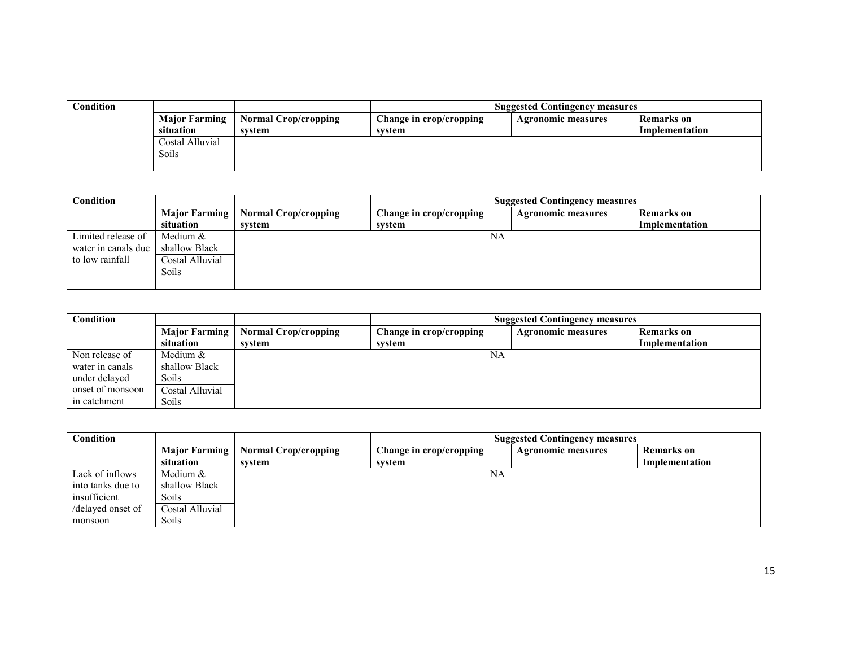| Condition |                      |                      | <b>Suggested Contingency measures</b> |                           |                   |
|-----------|----------------------|----------------------|---------------------------------------|---------------------------|-------------------|
|           | <b>Major Farming</b> | Normal Crop/cropping | Change in crop/cropping               | <b>Agronomic measures</b> | <b>Remarks</b> on |
|           | situation            | system               | system                                |                           | Implementation    |
|           | Costal Alluvial      |                      |                                       |                           |                   |
|           | Soils                |                      |                                       |                           |                   |
|           |                      |                      |                                       |                           |                   |

| <b>Condition</b>    |                 |                             | <b>Suggested Contingency measures</b> |                           |                   |
|---------------------|-----------------|-----------------------------|---------------------------------------|---------------------------|-------------------|
|                     | Major Farming   | <b>Normal Crop/cropping</b> | Change in crop/cropping               | <b>Agronomic measures</b> | <b>Remarks</b> on |
|                     | situation       | system                      | system                                |                           | Implementation    |
| Limited release of  | Medium $&$      |                             | NA                                    |                           |                   |
| water in canals due | shallow Black   |                             |                                       |                           |                   |
| to low rainfall     | Costal Alluvial |                             |                                       |                           |                   |
|                     | Soils           |                             |                                       |                           |                   |
|                     |                 |                             |                                       |                           |                   |

| Condition        |                      |                             | <b>Suggested Contingency measures</b> |                                                |                |  |  |
|------------------|----------------------|-----------------------------|---------------------------------------|------------------------------------------------|----------------|--|--|
|                  | <b>Major Farming</b> | <b>Normal Crop/cropping</b> | Change in crop/cropping               | <b>Remarks</b> on<br><b>Agronomic measures</b> |                |  |  |
|                  | situation            | system                      | system                                |                                                | Implementation |  |  |
| Non release of   | Medium &             |                             | NA                                    |                                                |                |  |  |
| water in canals  | shallow Black        |                             |                                       |                                                |                |  |  |
| under delayed    | <b>Soils</b>         |                             |                                       |                                                |                |  |  |
| onset of monsoon | Costal Alluvial      |                             |                                       |                                                |                |  |  |
| in catchment     | Soils                |                             |                                       |                                                |                |  |  |

| Condition         |                      | <b>Suggested Contingency measures</b> |                         |                           |                |
|-------------------|----------------------|---------------------------------------|-------------------------|---------------------------|----------------|
|                   | <b>Major Farming</b> | <b>Normal Crop/cropping</b>           | Change in crop/cropping | <b>Agronomic measures</b> | Remarks on     |
|                   | situation            | system                                | system                  |                           | Implementation |
| Lack of inflows   | Medium &             |                                       | NA                      |                           |                |
| into tanks due to | shallow Black        |                                       |                         |                           |                |
| insufficient      | <b>Soils</b>         |                                       |                         |                           |                |
| /delayed onset of | Costal Alluvial      |                                       |                         |                           |                |
| monsoon           | <b>Soils</b>         |                                       |                         |                           |                |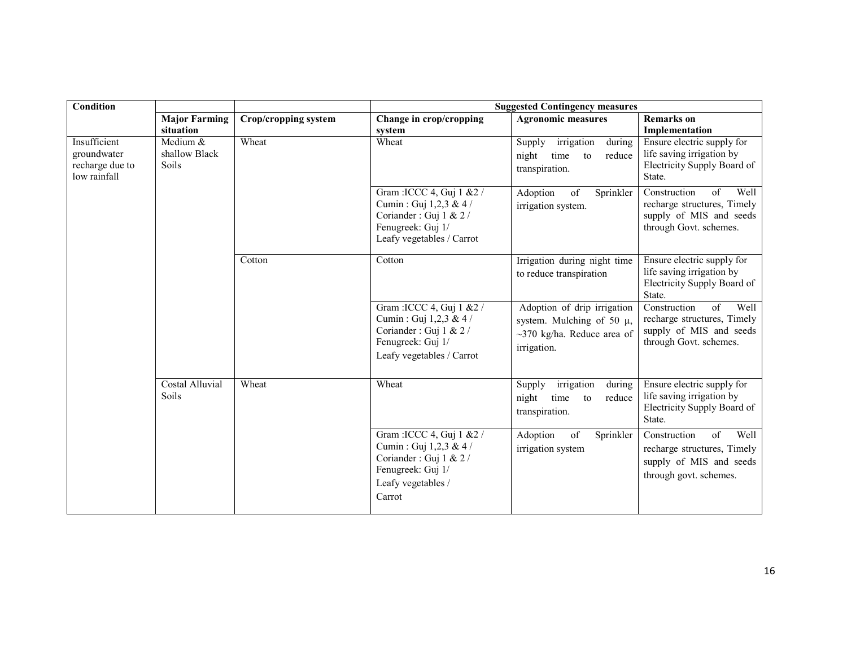| Condition                                                      |                                             |                      |                                                                                                                                    | <b>Suggested Contingency measures</b>                                                                            |                                                                                                                |
|----------------------------------------------------------------|---------------------------------------------|----------------------|------------------------------------------------------------------------------------------------------------------------------------|------------------------------------------------------------------------------------------------------------------|----------------------------------------------------------------------------------------------------------------|
|                                                                | <b>Major Farming</b><br>situation           | Crop/cropping system | Change in crop/cropping<br>system                                                                                                  | <b>Agronomic measures</b>                                                                                        | <b>Remarks</b> on<br>Implementation                                                                            |
| Insufficient<br>groundwater<br>recharge due to<br>low rainfall | Medium $&$<br>shallow Black<br><b>Soils</b> | Wheat                | Wheat                                                                                                                              | Supply<br>irrigation<br>during<br>night<br>reduce<br>time<br>to<br>transpiration.                                | Ensure electric supply for<br>life saving irrigation by<br>Electricity Supply Board of<br>State.               |
|                                                                |                                             |                      | Gram : ICCC 4, Guj 1 & 2 /<br>Cumin: Guj 1,2,3 & 4 /<br>Coriander: Guj 1 & 2/<br>Fenugreek: Guj 1/<br>Leafy vegetables / Carrot    | Adoption<br>of<br>Sprinkler<br>irrigation system.                                                                | Well<br>Construction<br>of<br>recharge structures, Timely<br>supply of MIS and seeds<br>through Govt. schemes. |
|                                                                |                                             | Cotton               | Cotton                                                                                                                             | Irrigation during night time<br>to reduce transpiration                                                          | Ensure electric supply for<br>life saving irrigation by<br>Electricity Supply Board of<br>State.               |
|                                                                |                                             |                      | Gram : ICCC 4, Guj 1 & 2 /<br>Cumin: Guj 1,2,3 & 4 /<br>Coriander: Guj 1 & 2/<br>Fenugreek: Guj 1/<br>Leafy vegetables / Carrot    | Adoption of drip irrigation<br>system. Mulching of 50 $\mu$ ,<br>$\sim$ 370 kg/ha. Reduce area of<br>irrigation. | Well<br>Construction<br>of<br>recharge structures, Timely<br>supply of MIS and seeds<br>through Govt. schemes. |
|                                                                | <b>Costal Alluvial</b><br>Soils             | Wheat                | Wheat                                                                                                                              | Supply<br>irrigation<br>during<br>night<br>time<br>reduce<br>to<br>transpiration.                                | Ensure electric supply for<br>life saving irrigation by<br>Electricity Supply Board of<br>State.               |
|                                                                |                                             |                      | Gram : ICCC 4, Guj 1 & 2 /<br>Cumin: Guj 1,2,3 & 4 /<br>Coriander: Guj 1 & 2/<br>Fenugreek: Guj 1/<br>Leafy vegetables /<br>Carrot | Sprinkler<br>Adoption<br>of<br>irrigation system                                                                 | of<br>Well<br>Construction<br>recharge structures, Timely<br>supply of MIS and seeds<br>through govt. schemes. |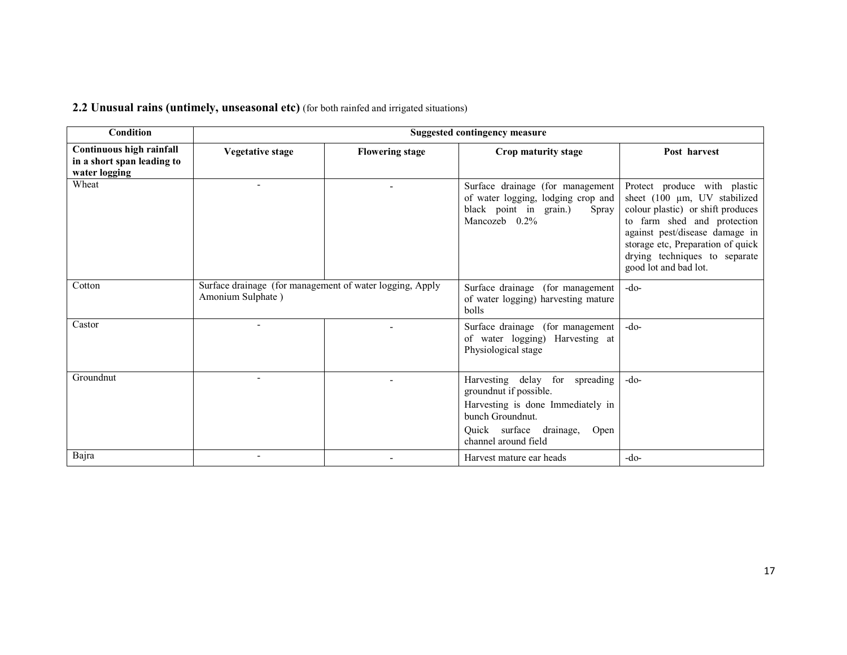## 2.2 Unusual rains (untimely, unseasonal etc) (for both rainfed and irrigated situations)

| <b>Condition</b>                                                        | <b>Suggested contingency measure</b>                                          |                        |                                                                                                                                                                              |                                                                                                                                                                                                                                                                   |
|-------------------------------------------------------------------------|-------------------------------------------------------------------------------|------------------------|------------------------------------------------------------------------------------------------------------------------------------------------------------------------------|-------------------------------------------------------------------------------------------------------------------------------------------------------------------------------------------------------------------------------------------------------------------|
| Continuous high rainfall<br>in a short span leading to<br>water logging | Vegetative stage                                                              | <b>Flowering stage</b> | Crop maturity stage                                                                                                                                                          | Post harvest                                                                                                                                                                                                                                                      |
| Wheat                                                                   |                                                                               |                        | Surface drainage (for management<br>of water logging, lodging crop and<br>black point in grain.)<br>Spray<br>Mancozeb 0.2%                                                   | Protect produce with plastic<br>sheet (100 µm, UV stabilized<br>colour plastic) or shift produces<br>to farm shed and protection<br>against pest/disease damage in<br>storage etc, Preparation of quick<br>drying techniques to separate<br>good lot and bad lot. |
| Cotton                                                                  | Surface drainage (for management of water logging, Apply<br>Amonium Sulphate) |                        | Surface drainage (for management<br>of water logging) harvesting mature<br>bolls                                                                                             | $-do-$                                                                                                                                                                                                                                                            |
| Castor                                                                  |                                                                               |                        | Surface drainage (for management<br>of water logging) Harvesting at<br>Physiological stage                                                                                   | $-do-$                                                                                                                                                                                                                                                            |
| Groundnut                                                               |                                                                               |                        | Harvesting delay for spreading<br>groundnut if possible.<br>Harvesting is done Immediately in<br>bunch Groundnut.<br>Quick surface drainage,<br>Open<br>channel around field | $-do-$                                                                                                                                                                                                                                                            |
| Bajra                                                                   |                                                                               |                        | Harvest mature ear heads                                                                                                                                                     | $-do-$                                                                                                                                                                                                                                                            |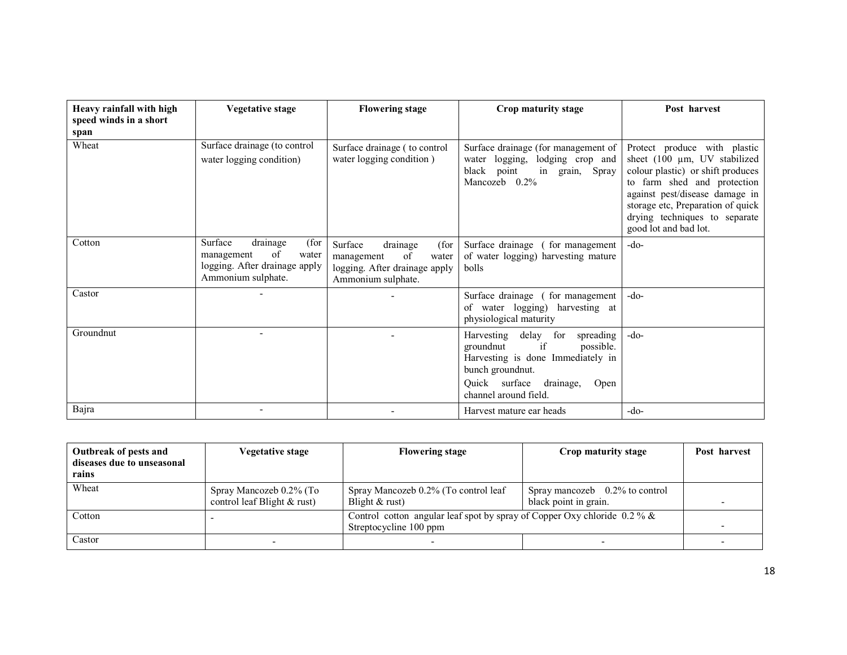| Heavy rainfall with high<br>speed winds in a short | <b>Vegetative stage</b>                                                                                         | <b>Flowering stage</b>                                                                                          | Crop maturity stage                                                                                                                                                                       | Post harvest                                                                                                                                                                                                                                                      |
|----------------------------------------------------|-----------------------------------------------------------------------------------------------------------------|-----------------------------------------------------------------------------------------------------------------|-------------------------------------------------------------------------------------------------------------------------------------------------------------------------------------------|-------------------------------------------------------------------------------------------------------------------------------------------------------------------------------------------------------------------------------------------------------------------|
| span                                               |                                                                                                                 |                                                                                                                 |                                                                                                                                                                                           |                                                                                                                                                                                                                                                                   |
| Wheat                                              | Surface drainage (to control<br>water logging condition)                                                        | Surface drainage (to control<br>water logging condition)                                                        | Surface drainage (for management of<br>water logging, lodging crop and<br>black point<br>grain, Spray<br>in<br>Mancozeb 0.2%                                                              | Protect produce with plastic<br>sheet (100 µm, UV stabilized<br>colour plastic) or shift produces<br>to farm shed and protection<br>against pest/disease damage in<br>storage etc, Preparation of quick<br>drying techniques to separate<br>good lot and bad lot. |
| Cotton                                             | Surface<br>(for<br>drainage<br>of<br>management<br>water<br>logging. After drainage apply<br>Ammonium sulphate. | Surface<br>(for<br>drainage<br>water<br>of<br>management<br>logging. After drainage apply<br>Ammonium sulphate. | Surface drainage (<br>for management<br>of water logging) harvesting mature<br>bolls                                                                                                      | $-do-$                                                                                                                                                                                                                                                            |
| Castor                                             |                                                                                                                 |                                                                                                                 | Surface drainage (for management)<br>of water logging) harvesting at<br>physiological maturity                                                                                            | $-do-$                                                                                                                                                                                                                                                            |
| Groundnut                                          |                                                                                                                 |                                                                                                                 | Harvesting delay for<br>spreading<br>possible.<br>groundnut<br>if<br>Harvesting is done Immediately in<br>bunch groundnut.<br>Quick surface<br>drainage,<br>Open<br>channel around field. | $-do-$                                                                                                                                                                                                                                                            |
| Bajra                                              |                                                                                                                 |                                                                                                                 | Harvest mature ear heads                                                                                                                                                                  | $-do-$                                                                                                                                                                                                                                                            |

| Outbreak of pests and<br>diseases due to unseasonal<br>rains | Vegetative stage                                         | <b>Flowering stage</b>                                                                               | Crop maturity stage                                        | Post harvest |
|--------------------------------------------------------------|----------------------------------------------------------|------------------------------------------------------------------------------------------------------|------------------------------------------------------------|--------------|
| Wheat                                                        | Spray Mancozeb 0.2% (To<br>control leaf Blight $&$ rust) | Spray Mancozeb 0.2% (To control leaf<br>Blight $&$ rust)                                             | Spray mancozeb $0.2\%$ to control<br>black point in grain. |              |
| Cotton                                                       |                                                          | Control cotton angular leaf spot by spray of Copper Oxy chloride $0.2\%$ &<br>Streptocycline 100 ppm |                                                            |              |
| Castor                                                       | $\overline{\phantom{a}}$                                 |                                                                                                      |                                                            |              |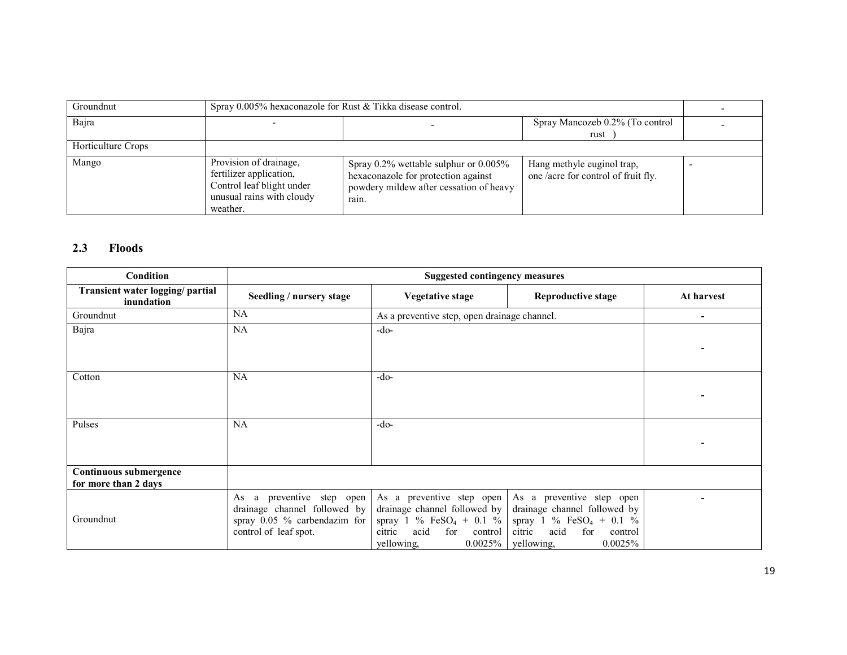| Groundnut          | Spray 0.005% hexaconazole for Rust & Tikka disease control.                                                             |                                                                                                                                        |                                                                  |  |
|--------------------|-------------------------------------------------------------------------------------------------------------------------|----------------------------------------------------------------------------------------------------------------------------------------|------------------------------------------------------------------|--|
| Bajra              |                                                                                                                         |                                                                                                                                        | Spray Mancozeb 0.2% (To control<br>rust                          |  |
| Horticulture Crops |                                                                                                                         |                                                                                                                                        |                                                                  |  |
| Mango              | Provision of drainage,<br>fertilizer application,<br>Control leaf blight under<br>unusual rains with cloudy<br>weather. | Spray $0.2\%$ wettable sulphur or $0.005\%$<br>hexaconazole for protection against<br>powdery mildew after cessation of heavy<br>rain. | Hang methyle euginol trap,<br>one/acre for control of fruit fly. |  |

## 2.3 Floods

| Condition                                      | <b>Suggested contingency measures</b>                        |                                                                                            |                                                                                                  |            |
|------------------------------------------------|--------------------------------------------------------------|--------------------------------------------------------------------------------------------|--------------------------------------------------------------------------------------------------|------------|
| Transient water logging/ partial<br>inundation | Seedling / nursery stage                                     | <b>Vegetative stage</b>                                                                    | <b>Reproductive stage</b>                                                                        | At harvest |
| Groundnut                                      | <b>NA</b>                                                    | As a preventive step, open drainage channel.                                               |                                                                                                  | ٠          |
| Bajra                                          | <b>NA</b>                                                    | $-do-$                                                                                     |                                                                                                  |            |
|                                                |                                                              |                                                                                            |                                                                                                  |            |
| Cotton                                         | <b>NA</b>                                                    | $-do-$                                                                                     |                                                                                                  |            |
|                                                |                                                              |                                                                                            |                                                                                                  |            |
|                                                |                                                              |                                                                                            |                                                                                                  |            |
| Pulses                                         | <b>NA</b>                                                    | $-do-$                                                                                     |                                                                                                  |            |
|                                                |                                                              |                                                                                            |                                                                                                  |            |
|                                                |                                                              |                                                                                            |                                                                                                  |            |
| Continuous submergence<br>for more than 2 days |                                                              |                                                                                            |                                                                                                  |            |
|                                                | a preventive step open<br>As<br>drainage channel followed by | As a preventive step open<br>drainage channel followed by                                  | As a preventive step open<br>drainage channel followed by                                        |            |
| Groundnut                                      | spray 0.05 % carbendazim for<br>control of leaf spot.        | spray 1 % $FeSO_4$ + 0.1 %<br>acid<br>for<br>citric<br>control<br>yellowing,<br>$0.0025\%$ | spray 1 % FeSO <sub>4</sub> + 0.1 %<br>citric<br>acid<br>for<br>control<br>yellowing,<br>0.0025% |            |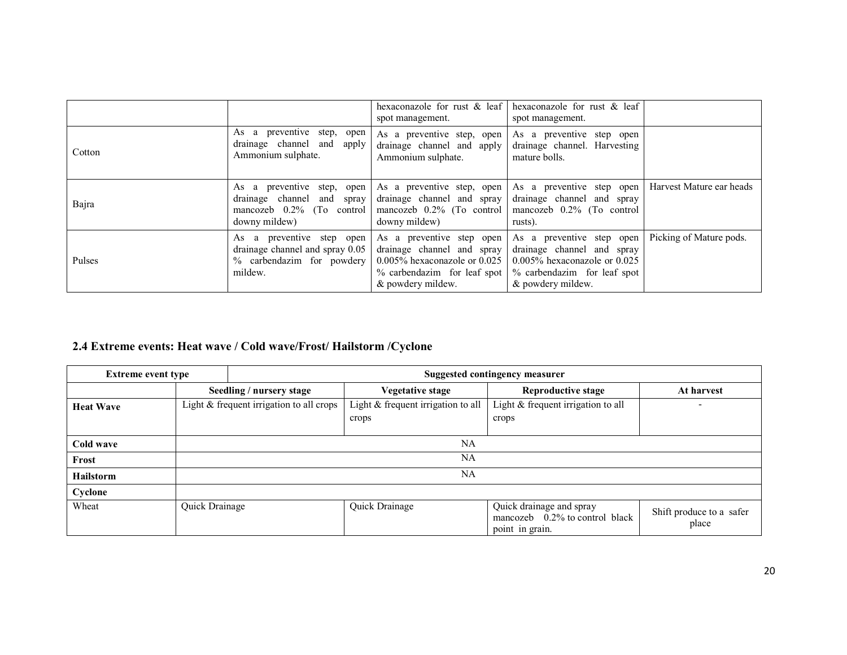|        |                                                                                                           | hexaconazole for rust $\&$ leaf<br>spot management.                                                                                              | hexaconazole for rust $\&$ leaf<br>spot management.                                                                                              |                          |
|--------|-----------------------------------------------------------------------------------------------------------|--------------------------------------------------------------------------------------------------------------------------------------------------|--------------------------------------------------------------------------------------------------------------------------------------------------|--------------------------|
| Cotton | As a preventive step, open<br>drainage channel and apply<br>Ammonium sulphate.                            | As a preventive step, open<br>drainage channel and apply<br>Ammonium sulphate.                                                                   | As a preventive step open<br>drainage channel. Harvesting<br>mature bolls.                                                                       |                          |
| Bajra  | As a preventive step, open<br>drainage channel and spray<br>mancozeb $0.2\%$ (To control<br>downy mildew) | As a preventive step, open<br>drainage channel and spray<br>mancozeb $0.2\%$ (To control<br>downy mildew)                                        | As a preventive step open<br>drainage channel and spray<br>mancozeb $0.2\%$ (To control<br>rusts).                                               | Harvest Mature ear heads |
| Pulses | As a preventive step open<br>drainage channel and spray 0.05<br>% carbendazim for powdery<br>mildew.      | As a preventive step open<br>drainage channel and spray<br>$0.005\%$ hexaconazole or $0.025$<br>% carbendazim for leaf spot<br>& powdery mildew. | As a preventive step open<br>drainage channel and spray<br>$0.005\%$ hexaconazole or $0.025$<br>% carbendazim for leaf spot<br>& powdery mildew. | Picking of Mature pods.  |

#### 2.4 Extreme events: Heat wave / Cold wave/Frost/ Hailstorm /Cyclone

| <b>Extreme event type</b> |                |                                          | <b>Suggested contingency measurer</b>       |                                                                                  |                                   |
|---------------------------|----------------|------------------------------------------|---------------------------------------------|----------------------------------------------------------------------------------|-----------------------------------|
|                           |                | Seedling / nursery stage                 | Vegetative stage                            | <b>Reproductive stage</b>                                                        | At harvest                        |
| <b>Heat Wave</b>          |                | Light & frequent irrigation to all crops | Light & frequent irrigation to all<br>crops | Light & frequent irrigation to all<br>crops                                      | -                                 |
| Cold wave                 | NA             |                                          |                                             |                                                                                  |                                   |
| Frost                     | NA             |                                          |                                             |                                                                                  |                                   |
| <b>Hailstorm</b>          | NA             |                                          |                                             |                                                                                  |                                   |
| Cyclone                   |                |                                          |                                             |                                                                                  |                                   |
| Wheat                     | Quick Drainage |                                          | Quick Drainage                              | Quick drainage and spray<br>mancozeb $0.2\%$ to control black<br>point in grain. | Shift produce to a safer<br>place |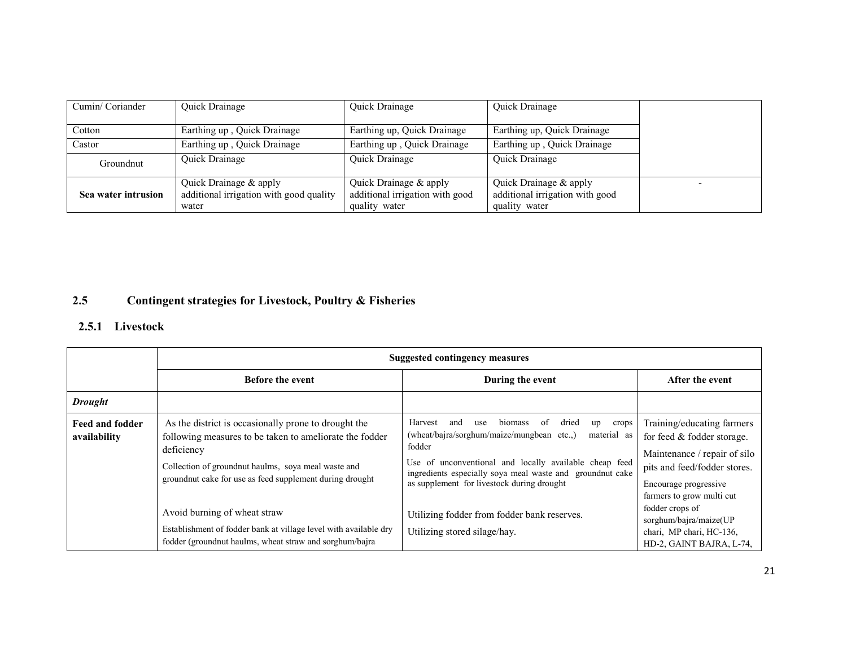| Cumin/Coriander     | Quick Drainage                                                             | Quick Drainage                                                             | Quick Drainage                                                             |  |
|---------------------|----------------------------------------------------------------------------|----------------------------------------------------------------------------|----------------------------------------------------------------------------|--|
| Cotton              | Earthing up, Quick Drainage                                                | Earthing up, Quick Drainage                                                | Earthing up, Quick Drainage                                                |  |
| Castor              | Earthing up, Quick Drainage                                                | Earthing up, Quick Drainage                                                | Earthing up, Quick Drainage                                                |  |
| Groundnut           | Quick Drainage                                                             | Quick Drainage                                                             | Quick Drainage                                                             |  |
| Sea water intrusion | Quick Drainage & apply<br>additional irrigation with good quality<br>water | Quick Drainage & apply<br>additional irrigation with good<br>quality water | Quick Drainage & apply<br>additional irrigation with good<br>quality water |  |

#### 2.5Contingent strategies for Livestock, Poultry & Fisheries

# 2.5.1 Livestock

|                                 | <b>Suggested contingency measures</b>                                                                                                                                                                                                              |                                                                                                                                                                                                                                                                                                            |                                                                                                                                                                                |  |
|---------------------------------|----------------------------------------------------------------------------------------------------------------------------------------------------------------------------------------------------------------------------------------------------|------------------------------------------------------------------------------------------------------------------------------------------------------------------------------------------------------------------------------------------------------------------------------------------------------------|--------------------------------------------------------------------------------------------------------------------------------------------------------------------------------|--|
|                                 | <b>Before the event</b>                                                                                                                                                                                                                            | During the event                                                                                                                                                                                                                                                                                           | After the event                                                                                                                                                                |  |
| <b>Drought</b>                  |                                                                                                                                                                                                                                                    |                                                                                                                                                                                                                                                                                                            |                                                                                                                                                                                |  |
| Feed and fodder<br>availability | As the district is occasionally prone to drought the<br>following measures to be taken to ameliorate the fodder<br>deficiency<br>Collection of ground nut haulms, so a meal was te and<br>groundnut cake for use as feed supplement during drought | Harvest<br>biomass<br>of<br>dried<br>and<br>use<br>crops<br>up<br>(wheat/bajra/sorghum/maize/mungbean etc.,)<br>material as<br>fodder<br>Use of unconventional and locally available cheap feed<br>ingredients especially soya meal waste and groundnut cake<br>as supplement for livestock during drought | Training/educating farmers<br>for feed & fodder storage.<br>Maintenance / repair of silo<br>pits and feed/fodder stores.<br>Encourage progressive<br>farmers to grow multi cut |  |
|                                 | Avoid burning of wheat straw<br>Establishment of fodder bank at village level with available dry<br>fodder (ground nut haulms, wheat straw and sorghum/bajra                                                                                       | Utilizing fodder from fodder bank reserves.<br>Utilizing stored silage/hay.                                                                                                                                                                                                                                | fodder crops of<br>sorghum/bajra/maize(UP<br>chari, MP chari, HC-136,<br>HD-2, GAINT BAJRA, L-74,                                                                              |  |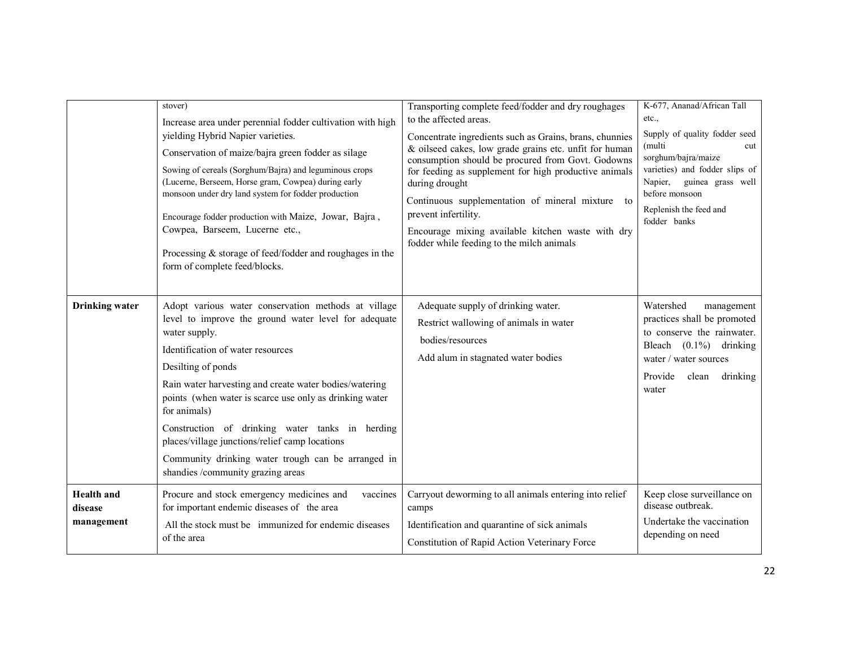|                                            | stover)<br>Increase area under perennial fodder cultivation with high<br>yielding Hybrid Napier varieties.<br>Conservation of maize/bajra green fodder as silage<br>Sowing of cereals (Sorghum/Bajra) and leguminous crops<br>(Lucerne, Berseem, Horse gram, Cowpea) during early<br>monsoon under dry land system for fodder production<br>Encourage fodder production with Maize, Jowar, Bajra,<br>Cowpea, Barseem, Lucerne etc.,<br>Processing $&$ storage of feed/fodder and roughages in the<br>form of complete feed/blocks. | Transporting complete feed/fodder and dry roughages<br>to the affected areas.<br>Concentrate ingredients such as Grains, brans, chunnies<br>& oilseed cakes, low grade grains etc. unfit for human<br>consumption should be procured from Govt. Godowns<br>for feeding as supplement for high productive animals<br>during drought<br>Continuous supplementation of mineral mixture to<br>prevent infertility.<br>Encourage mixing available kitchen waste with dry<br>fodder while feeding to the milch animals | K-677, Ananad/African Tall<br>etc.<br>Supply of quality fodder seed<br>(multi<br>cut<br>sorghum/bajra/maize<br>varieties) and fodder slips of<br>Napier, guinea grass well<br>before monsoon<br>Replenish the feed and<br>fodder banks |
|--------------------------------------------|------------------------------------------------------------------------------------------------------------------------------------------------------------------------------------------------------------------------------------------------------------------------------------------------------------------------------------------------------------------------------------------------------------------------------------------------------------------------------------------------------------------------------------|------------------------------------------------------------------------------------------------------------------------------------------------------------------------------------------------------------------------------------------------------------------------------------------------------------------------------------------------------------------------------------------------------------------------------------------------------------------------------------------------------------------|----------------------------------------------------------------------------------------------------------------------------------------------------------------------------------------------------------------------------------------|
| <b>Drinking water</b>                      | Adopt various water conservation methods at village<br>level to improve the ground water level for adequate<br>water supply.<br>Identification of water resources<br>Desilting of ponds<br>Rain water harvesting and create water bodies/watering<br>points (when water is scarce use only as drinking water<br>for animals)<br>Construction of drinking water tanks in herding<br>places/village junctions/relief camp locations<br>Community drinking water trough can be arranged in<br>shandies /community grazing areas       | Adequate supply of drinking water.<br>Restrict wallowing of animals in water<br>bodies/resources<br>Add alum in stagnated water bodies                                                                                                                                                                                                                                                                                                                                                                           | Watershed<br>management<br>practices shall be promoted<br>to conserve the rainwater.<br>Bleach $(0.1\%)$ drinking<br>water / water sources<br>Provide<br>clean<br>drinking<br>water                                                    |
| <b>Health</b> and<br>disease<br>management | Procure and stock emergency medicines and<br>vaccines<br>for important endemic diseases of the area<br>All the stock must be immunized for endemic diseases<br>of the area                                                                                                                                                                                                                                                                                                                                                         | Carryout deworming to all animals entering into relief<br>camps<br>Identification and quarantine of sick animals<br>Constitution of Rapid Action Veterinary Force                                                                                                                                                                                                                                                                                                                                                | Keep close surveillance on<br>disease outbreak.<br>Undertake the vaccination<br>depending on need                                                                                                                                      |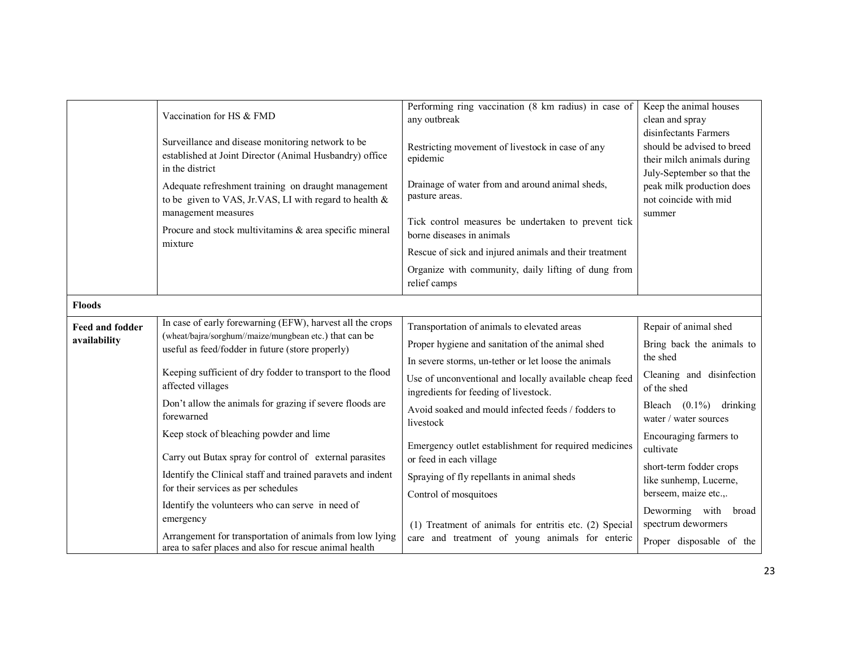|                                        | Vaccination for HS & FMD<br>Surveillance and disease monitoring network to be<br>established at Joint Director (Animal Husbandry) office<br>in the district<br>Adequate refreshment training on draught management<br>to be given to VAS, Jr.VAS, LI with regard to health &<br>management measures<br>Procure and stock multivitamins & area specific mineral<br>mixture                                                                                                                                                                                                                                                                                                                                                               | Performing ring vaccination (8 km radius) in case of<br>any outbreak<br>Restricting movement of livestock in case of any<br>epidemic<br>Drainage of water from and around animal sheds,<br>pasture areas.<br>Tick control measures be undertaken to prevent tick<br>borne diseases in animals<br>Rescue of sick and injured animals and their treatment<br>Organize with community, daily lifting of dung from<br>relief camps                                                                                                                                                                        | Keep the animal houses<br>clean and spray<br>disinfectants Farmers<br>should be advised to breed<br>their milch animals during<br>July-September so that the<br>peak milk production does<br>not coincide with mid<br>summer                                                                                                                                    |
|----------------------------------------|-----------------------------------------------------------------------------------------------------------------------------------------------------------------------------------------------------------------------------------------------------------------------------------------------------------------------------------------------------------------------------------------------------------------------------------------------------------------------------------------------------------------------------------------------------------------------------------------------------------------------------------------------------------------------------------------------------------------------------------------|-------------------------------------------------------------------------------------------------------------------------------------------------------------------------------------------------------------------------------------------------------------------------------------------------------------------------------------------------------------------------------------------------------------------------------------------------------------------------------------------------------------------------------------------------------------------------------------------------------|-----------------------------------------------------------------------------------------------------------------------------------------------------------------------------------------------------------------------------------------------------------------------------------------------------------------------------------------------------------------|
| <b>Floods</b>                          |                                                                                                                                                                                                                                                                                                                                                                                                                                                                                                                                                                                                                                                                                                                                         |                                                                                                                                                                                                                                                                                                                                                                                                                                                                                                                                                                                                       |                                                                                                                                                                                                                                                                                                                                                                 |
| <b>Feed and fodder</b><br>availability | In case of early forewarning (EFW), harvest all the crops<br>(wheat/bajra/sorghum//maize/mungbean etc.) that can be<br>useful as feed/fodder in future (store properly)<br>Keeping sufficient of dry fodder to transport to the flood<br>affected villages<br>Don't allow the animals for grazing if severe floods are<br>forewarned<br>Keep stock of bleaching powder and lime<br>Carry out Butax spray for control of external parasites<br>Identify the Clinical staff and trained paravets and indent<br>for their services as per schedules<br>Identify the volunteers who can serve in need of<br>emergency<br>Arrangement for transportation of animals from low lying<br>area to safer places and also for rescue animal health | Transportation of animals to elevated areas<br>Proper hygiene and sanitation of the animal shed<br>In severe storms, un-tether or let loose the animals<br>Use of unconventional and locally available cheap feed<br>ingredients for feeding of livestock.<br>Avoid soaked and mould infected feeds / fodders to<br>livestock<br>Emergency outlet establishment for required medicines<br>or feed in each village<br>Spraying of fly repellants in animal sheds<br>Control of mosquitoes<br>(1) Treatment of animals for entritis etc. (2) Special<br>care and treatment of young animals for enteric | Repair of animal shed<br>Bring back the animals to<br>the shed<br>Cleaning and disinfection<br>of the shed<br>Bleach $(0.1\%)$ drinking<br>water / water sources<br>Encouraging farmers to<br>cultivate<br>short-term fodder crops<br>like sunhemp, Lucerne,<br>berseem, maize etc.,.<br>Deworming with broad<br>spectrum dewormers<br>Proper disposable of the |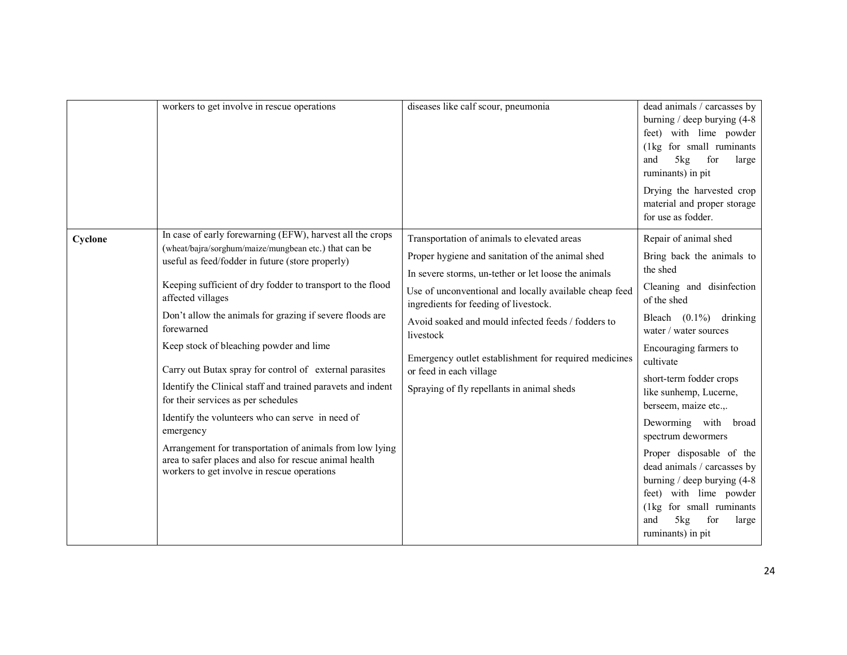|         | workers to get involve in rescue operations                                                                                                                                                                                                                                                                                                                                                                                                                                                                                                                                                                                                                                                                                                                                           | diseases like calf scour, pneumonia                                                                                                                                                                                                                                                                                                                                                                                                                             | dead animals / carcasses by<br>burning / deep burying $(4-8)$<br>feet) with lime powder<br>(1kg for small ruminants<br>and<br>5kg<br>for<br>large<br>ruminants) in pit<br>Drying the harvested crop<br>material and proper storage<br>for use as fodder.                                                                                                                                                                                                                                                                                     |
|---------|---------------------------------------------------------------------------------------------------------------------------------------------------------------------------------------------------------------------------------------------------------------------------------------------------------------------------------------------------------------------------------------------------------------------------------------------------------------------------------------------------------------------------------------------------------------------------------------------------------------------------------------------------------------------------------------------------------------------------------------------------------------------------------------|-----------------------------------------------------------------------------------------------------------------------------------------------------------------------------------------------------------------------------------------------------------------------------------------------------------------------------------------------------------------------------------------------------------------------------------------------------------------|----------------------------------------------------------------------------------------------------------------------------------------------------------------------------------------------------------------------------------------------------------------------------------------------------------------------------------------------------------------------------------------------------------------------------------------------------------------------------------------------------------------------------------------------|
| Cyclone | In case of early forewarning (EFW), harvest all the crops<br>(wheat/bajra/sorghum/maize/mungbean etc.) that can be<br>useful as feed/fodder in future (store properly)<br>Keeping sufficient of dry fodder to transport to the flood<br>affected villages<br>Don't allow the animals for grazing if severe floods are<br>forewarned<br>Keep stock of bleaching powder and lime<br>Carry out Butax spray for control of external parasites<br>Identify the Clinical staff and trained paravets and indent<br>for their services as per schedules<br>Identify the volunteers who can serve in need of<br>emergency<br>Arrangement for transportation of animals from low lying<br>area to safer places and also for rescue animal health<br>workers to get involve in rescue operations | Transportation of animals to elevated areas<br>Proper hygiene and sanitation of the animal shed<br>In severe storms, un-tether or let loose the animals<br>Use of unconventional and locally available cheap feed<br>ingredients for feeding of livestock.<br>Avoid soaked and mould infected feeds / fodders to<br>livestock<br>Emergency outlet establishment for required medicines<br>or feed in each village<br>Spraying of fly repellants in animal sheds | Repair of animal shed<br>Bring back the animals to<br>the shed<br>Cleaning and disinfection<br>of the shed<br>Bleach $(0.1\%)$ drinking<br>water / water sources<br>Encouraging farmers to<br>cultivate<br>short-term fodder crops<br>like sunhemp, Lucerne,<br>berseem, maize etc.,.<br>Deworming with<br>broad<br>spectrum dewormers<br>Proper disposable of the<br>dead animals / carcasses by<br>burning / deep burying $(4-8)$<br>feet) with lime powder<br>(1kg for small ruminants<br>and<br>5kg<br>for<br>large<br>ruminants) in pit |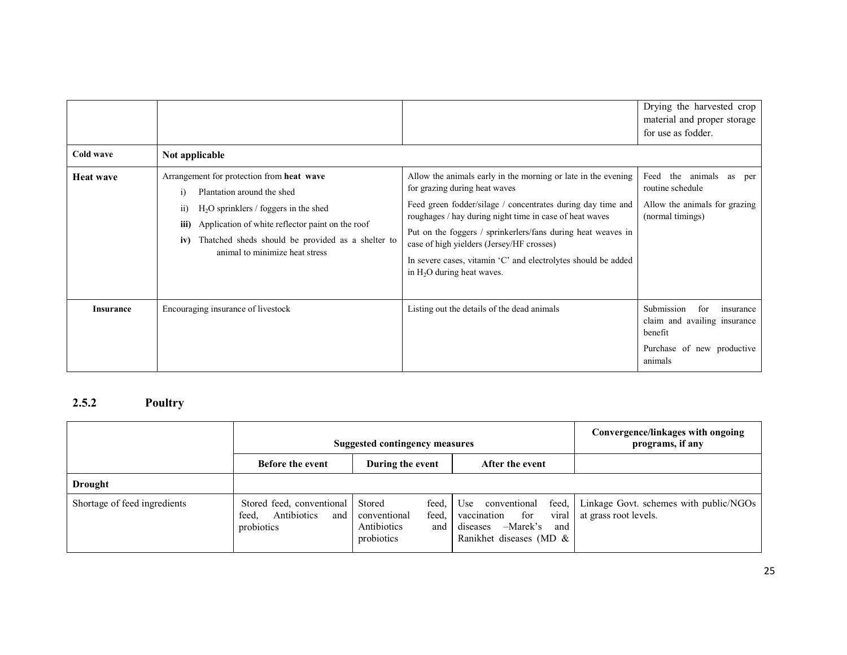| Cold wave        | Not applicable                                                                                                                                                                                                                                                                                  |                                                                                                                                                                                                                                                                                                                                                                                                                                        | Drying the harvested crop<br>material and proper storage<br>for use as fodder.                                     |
|------------------|-------------------------------------------------------------------------------------------------------------------------------------------------------------------------------------------------------------------------------------------------------------------------------------------------|----------------------------------------------------------------------------------------------------------------------------------------------------------------------------------------------------------------------------------------------------------------------------------------------------------------------------------------------------------------------------------------------------------------------------------------|--------------------------------------------------------------------------------------------------------------------|
| <b>Heat wave</b> | Arrangement for protection from heat wave<br>Plantation around the shed<br>$\mathbf{i}$<br>$H2O$ sprinklers / foggers in the shed<br>11)<br>Application of white reflector paint on the roof<br>iii)<br>iv) Thatched sheds should be provided as a shelter to<br>animal to minimize heat stress | Allow the animals early in the morning or late in the evening<br>for grazing during heat waves<br>Feed green fodder/silage / concentrates during day time and<br>roughages / hay during night time in case of heat waves<br>Put on the foggers / sprinkerlers/fans during heat weaves in<br>case of high yielders (Jersey/HF crosses)<br>In severe cases, vitamin 'C' and electrolytes should be added<br>in $H_2O$ during heat waves. | Feed the animals<br>as<br>per<br>routine schedule<br>Allow the animals for grazing<br>(normal timings)             |
| <b>Insurance</b> | Encouraging insurance of livestock                                                                                                                                                                                                                                                              | Listing out the details of the dead animals                                                                                                                                                                                                                                                                                                                                                                                            | Submission<br>for<br>insurance<br>claim and availing insurance<br>benefit<br>Purchase of new productive<br>animals |

# 2.5.2 Poultry

|                              | <b>Suggested contingency measures</b>                                  |                                                                              |                                                                                                                       | Convergence/linkages with ongoing<br>programs, if any           |
|------------------------------|------------------------------------------------------------------------|------------------------------------------------------------------------------|-----------------------------------------------------------------------------------------------------------------------|-----------------------------------------------------------------|
|                              | After the event<br><b>Before the event</b><br>During the event         |                                                                              |                                                                                                                       |                                                                 |
| <b>Drought</b>               |                                                                        |                                                                              |                                                                                                                       |                                                                 |
| Shortage of feed ingredients | Stored feed, conventional<br>Antibiotics<br>feed.<br>and<br>probiotics | feed.<br>Stored<br>feed,<br>conventional<br>Antibiotics<br>and<br>probiotics | feed,<br>Use<br>conventional<br>viral<br>for<br>vaccination<br>-Marek's<br>and<br>diseases<br>Ranikhet diseases (MD & | Linkage Govt. schemes with public/NGOs<br>at grass root levels. |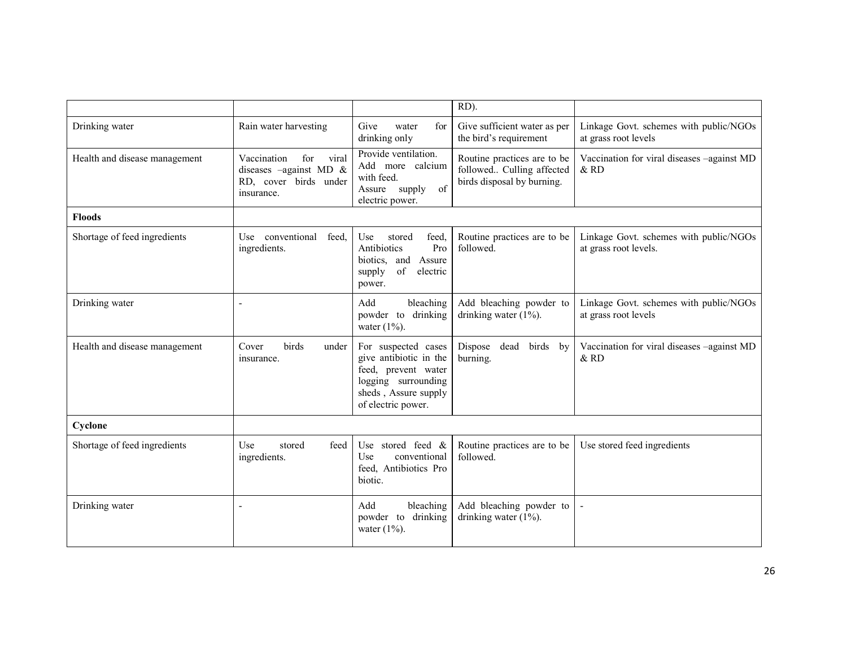|                                                                        |                                                                                              |                                                                                                                                           | RD).                                                                                   |                                                                 |
|------------------------------------------------------------------------|----------------------------------------------------------------------------------------------|-------------------------------------------------------------------------------------------------------------------------------------------|----------------------------------------------------------------------------------------|-----------------------------------------------------------------|
| Drinking water                                                         | Rain water harvesting                                                                        | Give<br>for<br>water<br>drinking only                                                                                                     | Give sufficient water as per<br>the bird's requirement                                 | Linkage Govt. schemes with public/NGOs<br>at grass root levels  |
| Health and disease management                                          | Vaccination<br>for<br>viral<br>diseases -against MD &<br>RD, cover birds under<br>insurance. | Provide ventilation.<br>Add more calcium<br>with feed.<br>Assure supply<br>of<br>electric power.                                          | Routine practices are to be<br>followed Culling affected<br>birds disposal by burning. | Vaccination for viral diseases -against MD<br>& RD              |
| <b>Floods</b>                                                          |                                                                                              |                                                                                                                                           |                                                                                        |                                                                 |
| Shortage of feed ingredients                                           | Use conventional<br>feed.<br>ingredients.                                                    | feed,<br>Use<br>stored<br>Antibiotics<br>Pro<br>biotics, and<br>Assure<br>of<br>supply<br>electric<br>power.                              | Routine practices are to be<br>followed.                                               | Linkage Govt. schemes with public/NGOs<br>at grass root levels. |
| Drinking water                                                         | L,                                                                                           | bleaching<br>Add<br>powder to drinking<br>water $(1\%)$ .                                                                                 | Add bleaching powder to<br>drinking water $(1\%)$ .                                    | Linkage Govt. schemes with public/NGOs<br>at grass root levels  |
| Health and disease management<br>Cover<br>birds<br>under<br>insurance. |                                                                                              | For suspected cases<br>give antibiotic in the<br>feed, prevent water<br>logging surrounding<br>sheds, Assure supply<br>of electric power. | Dispose dead<br>birds<br>by<br>burning.                                                | Vaccination for viral diseases -against MD<br>&RD               |
| Cyclone                                                                |                                                                                              |                                                                                                                                           |                                                                                        |                                                                 |
| Shortage of feed ingredients                                           | feed<br>Use<br>stored<br>ingredients.                                                        | Use stored feed $\&$<br>Use<br>conventional<br>feed, Antibiotics Pro<br>biotic.                                                           | Routine practices are to be<br>followed.                                               | Use stored feed ingredients                                     |
| Drinking water                                                         | $\overline{\phantom{a}}$                                                                     | bleaching<br>Add<br>drinking<br>powder to<br>water $(1\%)$ .                                                                              | Add bleaching powder to<br>drinking water $(1\%)$ .                                    |                                                                 |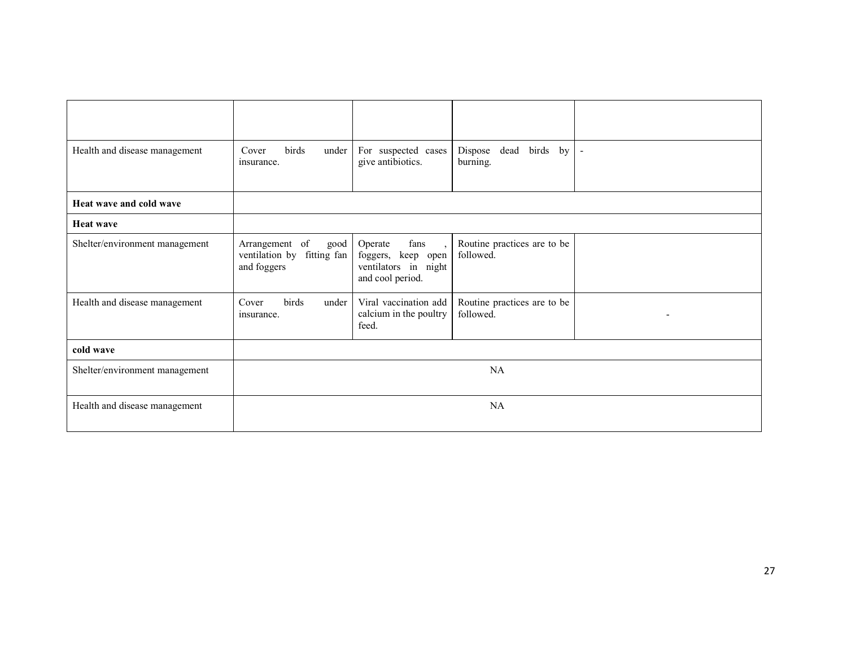| Health and disease management  | birds<br>Cover<br>under<br>insurance.                               | For suspected cases<br>give antibiotics.                                                                      | birds by<br>dead<br>Dispose<br>burning.  | $\overline{\phantom{a}}$ |
|--------------------------------|---------------------------------------------------------------------|---------------------------------------------------------------------------------------------------------------|------------------------------------------|--------------------------|
| Heat wave and cold wave        |                                                                     |                                                                                                               |                                          |                          |
| <b>Heat wave</b>               |                                                                     |                                                                                                               |                                          |                          |
| Shelter/environment management | Arrangement of<br>good<br>ventilation by fitting fan<br>and foggers | fans<br>Operate<br>$\overline{\phantom{a}}$<br>foggers, keep open<br>ventilators in night<br>and cool period. | Routine practices are to be<br>followed. |                          |
| Health and disease management  | Cover<br>birds<br>under<br>insurance.                               | Viral vaccination add<br>calcium in the poultry<br>feed.                                                      | Routine practices are to be<br>followed. | $\overline{\phantom{0}}$ |
| cold wave                      |                                                                     |                                                                                                               |                                          |                          |
| Shelter/environment management | NA                                                                  |                                                                                                               |                                          |                          |
| Health and disease management  | NA                                                                  |                                                                                                               |                                          |                          |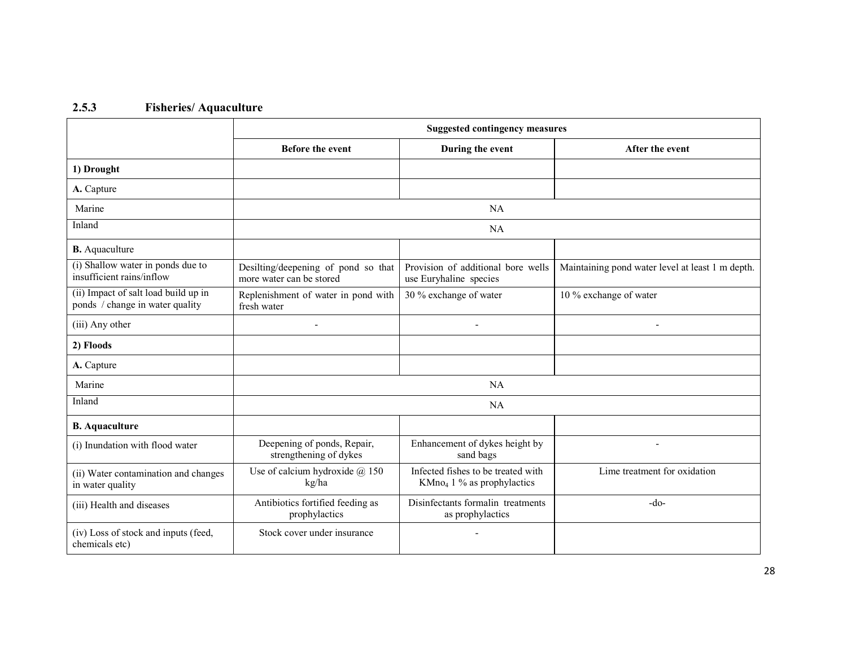## 2.5.3 Fisheries/ Aquaculture

|                                                                         | <b>Suggested contingency measures</b>                           |                                                                    |                                                  |  |  |  |
|-------------------------------------------------------------------------|-----------------------------------------------------------------|--------------------------------------------------------------------|--------------------------------------------------|--|--|--|
|                                                                         | <b>Before the event</b>                                         | During the event                                                   | After the event                                  |  |  |  |
| 1) Drought                                                              |                                                                 |                                                                    |                                                  |  |  |  |
| A. Capture                                                              |                                                                 |                                                                    |                                                  |  |  |  |
| Marine                                                                  |                                                                 | NA                                                                 |                                                  |  |  |  |
| Inland                                                                  |                                                                 | NA                                                                 |                                                  |  |  |  |
| <b>B.</b> Aquaculture                                                   |                                                                 |                                                                    |                                                  |  |  |  |
| (i) Shallow water in ponds due to<br>insufficient rains/inflow          | Desilting/deepening of pond so that<br>more water can be stored | Provision of additional bore wells<br>use Euryhaline species       | Maintaining pond water level at least 1 m depth. |  |  |  |
| (ii) Impact of salt load build up in<br>ponds / change in water quality | Replenishment of water in pond with<br>fresh water              | 30 % exchange of water                                             | 10 % exchange of water                           |  |  |  |
| (iii) Any other                                                         |                                                                 |                                                                    |                                                  |  |  |  |
| 2) Floods                                                               |                                                                 |                                                                    |                                                  |  |  |  |
| A. Capture                                                              |                                                                 |                                                                    |                                                  |  |  |  |
| Marine                                                                  | NA                                                              |                                                                    |                                                  |  |  |  |
| Inland                                                                  | NA                                                              |                                                                    |                                                  |  |  |  |
| <b>B.</b> Aquaculture                                                   |                                                                 |                                                                    |                                                  |  |  |  |
| (i) Inundation with flood water                                         | Deepening of ponds, Repair,<br>strengthening of dykes           | Enhancement of dykes height by<br>sand bags                        | ٠                                                |  |  |  |
| (ii) Water contamination and changes<br>in water quality                | Use of calcium hydroxide $(a)$ 150<br>kg/ha                     | Infected fishes to be treated with<br>$KMno4 1 %$ as prophylactics | Lime treatment for oxidation                     |  |  |  |
| (iii) Health and diseases                                               | Antibiotics fortified feeding as<br>prophylactics               | Disinfectants formalin treatments<br>as prophylactics              | $-do-$                                           |  |  |  |
| (iv) Loss of stock and inputs (feed,<br>chemicals etc)                  | Stock cover under insurance                                     |                                                                    |                                                  |  |  |  |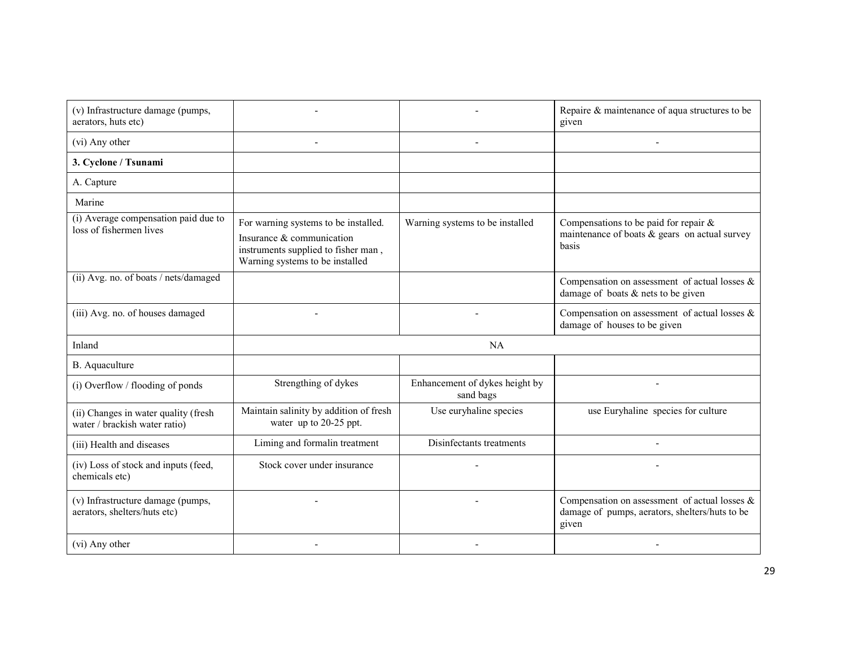| (v) Infrastructure damage (pumps,                                     |                                                                                                                                             |                                             | Repaire & maintenance of aqua structures to be                                                        |  |  |
|-----------------------------------------------------------------------|---------------------------------------------------------------------------------------------------------------------------------------------|---------------------------------------------|-------------------------------------------------------------------------------------------------------|--|--|
| aerators, huts etc)                                                   |                                                                                                                                             |                                             | given                                                                                                 |  |  |
| (vi) Any other                                                        |                                                                                                                                             |                                             |                                                                                                       |  |  |
| 3. Cyclone / Tsunami                                                  |                                                                                                                                             |                                             |                                                                                                       |  |  |
| A. Capture                                                            |                                                                                                                                             |                                             |                                                                                                       |  |  |
| Marine                                                                |                                                                                                                                             |                                             |                                                                                                       |  |  |
| (i) Average compensation paid due to<br>loss of fishermen lives       | For warning systems to be installed.<br>Insurance & communication<br>instruments supplied to fisher man,<br>Warning systems to be installed | Warning systems to be installed             | Compensations to be paid for repair $\&$<br>maintenance of boats $\&$ gears on actual survey<br>basis |  |  |
| (ii) Avg. no. of boats / nets/damaged                                 |                                                                                                                                             |                                             | Compensation on assessment of actual losses $\&$<br>damage of boats $&$ nets to be given              |  |  |
| (iii) Avg. no. of houses damaged                                      |                                                                                                                                             |                                             | Compensation on assessment of actual losses $\&$<br>damage of houses to be given                      |  |  |
| Inland                                                                | NA                                                                                                                                          |                                             |                                                                                                       |  |  |
| B. Aquaculture                                                        |                                                                                                                                             |                                             |                                                                                                       |  |  |
| (i) Overflow / flooding of ponds                                      | Strengthing of dykes                                                                                                                        | Enhancement of dykes height by<br>sand bags |                                                                                                       |  |  |
| (ii) Changes in water quality (fresh<br>water / brackish water ratio) | Maintain salinity by addition of fresh<br>water up to 20-25 ppt.                                                                            | Use euryhaline species                      | use Euryhaline species for culture                                                                    |  |  |
| (iii) Health and diseases                                             | Liming and formalin treatment                                                                                                               | Disinfectants treatments                    |                                                                                                       |  |  |
| (iv) Loss of stock and inputs (feed,<br>chemicals etc)                | Stock cover under insurance                                                                                                                 |                                             |                                                                                                       |  |  |
| (v) Infrastructure damage (pumps,<br>aerators, shelters/huts etc)     |                                                                                                                                             |                                             | Compensation on assessment of actual losses $\&$<br>damage of pumps, aerators, shelters/huts to be    |  |  |
|                                                                       |                                                                                                                                             |                                             | given                                                                                                 |  |  |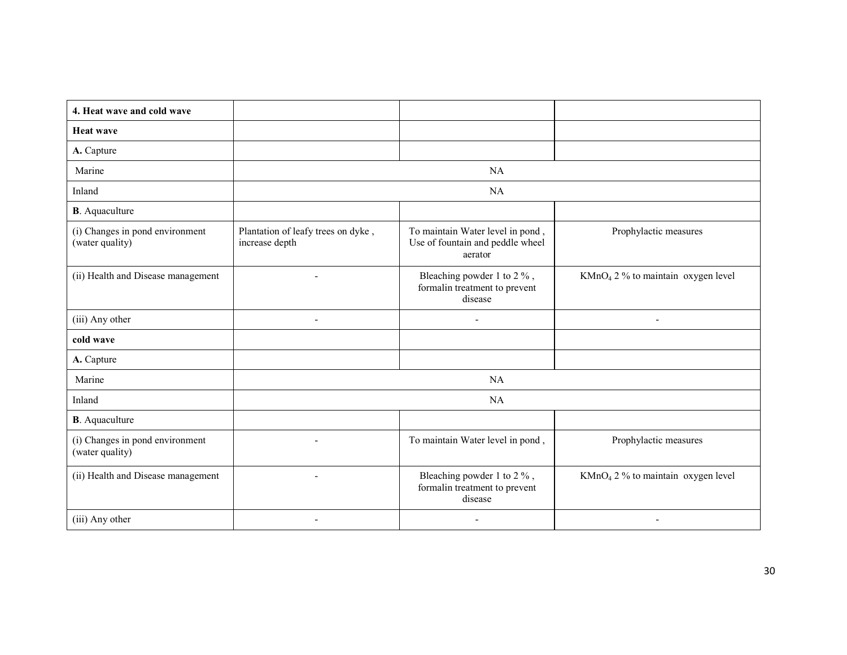| 4. Heat wave and cold wave                         |                                                      |                                                                                 |                                                |  |  |
|----------------------------------------------------|------------------------------------------------------|---------------------------------------------------------------------------------|------------------------------------------------|--|--|
| <b>Heat wave</b>                                   |                                                      |                                                                                 |                                                |  |  |
| A. Capture                                         |                                                      |                                                                                 |                                                |  |  |
| Marine                                             |                                                      | NA                                                                              |                                                |  |  |
| Inland                                             |                                                      | NA                                                                              |                                                |  |  |
| <b>B</b> . Aquaculture                             |                                                      |                                                                                 |                                                |  |  |
| (i) Changes in pond environment<br>(water quality) | Plantation of leafy trees on dyke,<br>increase depth | To maintain Water level in pond,<br>Use of fountain and peddle wheel<br>aerator | Prophylactic measures                          |  |  |
| (ii) Health and Disease management                 |                                                      | Bleaching powder 1 to 2 %,<br>formalin treatment to prevent<br>disease          | KMnO <sub>4</sub> 2 % to maintain oxygen level |  |  |
| (iii) Any other                                    | $\blacksquare$                                       |                                                                                 | $\overline{a}$                                 |  |  |
| cold wave                                          |                                                      |                                                                                 |                                                |  |  |
| A. Capture                                         |                                                      |                                                                                 |                                                |  |  |
| Marine                                             | NA                                                   |                                                                                 |                                                |  |  |
| Inland                                             | NA                                                   |                                                                                 |                                                |  |  |
| <b>B</b> . Aquaculture                             |                                                      |                                                                                 |                                                |  |  |
| (i) Changes in pond environment<br>(water quality) | $\blacksquare$                                       | To maintain Water level in pond,                                                | Prophylactic measures                          |  |  |
| (ii) Health and Disease management                 | $\blacksquare$                                       | Bleaching powder 1 to 2 %,<br>formalin treatment to prevent<br>disease          | $KMnO4 2 %$ to maintain oxygen level           |  |  |
| (iii) Any other                                    |                                                      |                                                                                 |                                                |  |  |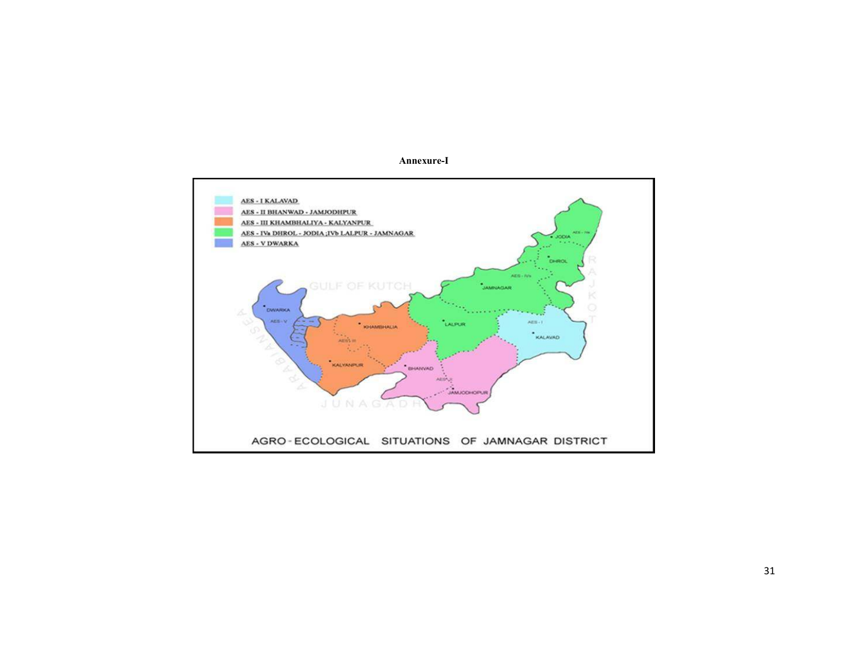

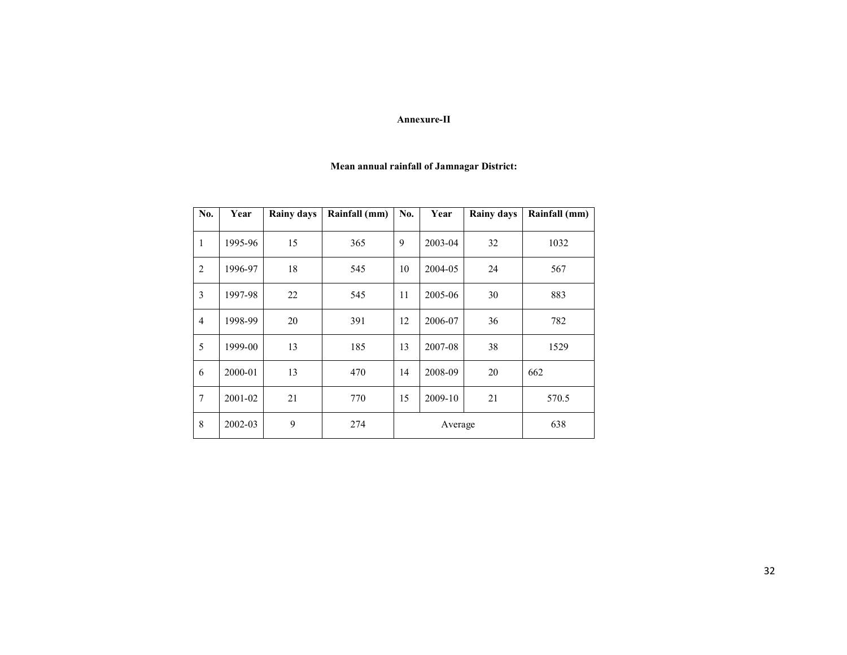#### Annexure-II

#### Mean annual rainfall of Jamnagar District:

| No.            | Year    | <b>Rainy days</b> | Rainfall (mm) | No.     | Year    | <b>Rainy days</b> | Rainfall (mm) |
|----------------|---------|-------------------|---------------|---------|---------|-------------------|---------------|
| 1              | 1995-96 | 15                | 365           | 9       | 2003-04 | 32                | 1032          |
| 2              | 1996-97 | 18                | 545           | 10      | 2004-05 | 24                | 567           |
| 3              | 1997-98 | 22                | 545           | 11      | 2005-06 | 30                | 883           |
| $\overline{4}$ | 1998-99 | 20                | 391           | 12      | 2006-07 | 36                | 782           |
| 5              | 1999-00 | 13                | 185           | 13      | 2007-08 | 38                | 1529          |
| 6              | 2000-01 | 13                | 470           | 14      | 2008-09 | 20                | 662           |
| $\overline{7}$ | 2001-02 | 21                | 770           | 15      | 2009-10 | 21                | 570.5         |
| 8              | 2002-03 | 9                 | 274           | Average |         |                   | 638           |